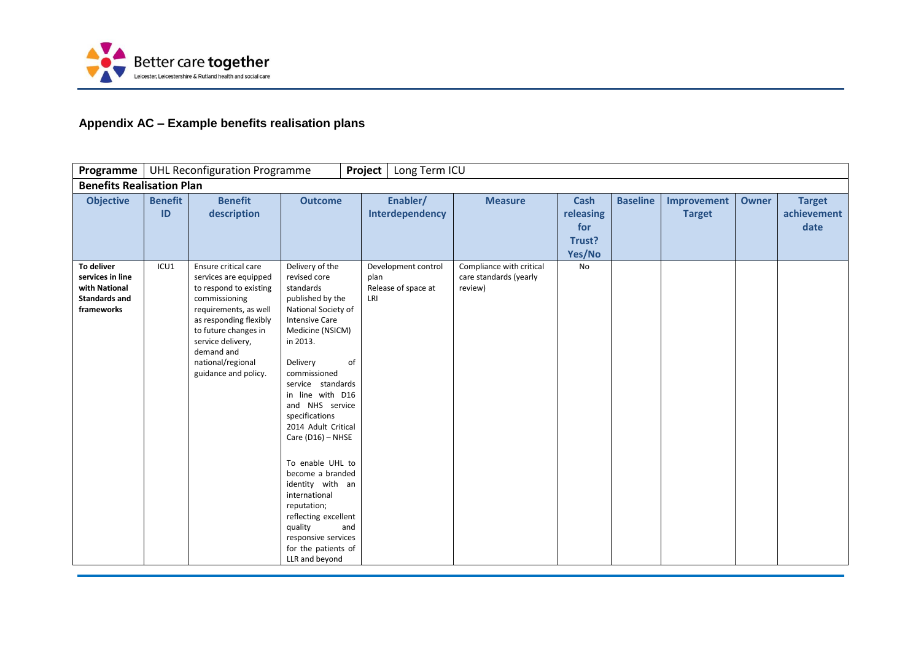

## **Appendix AC – Example benefits realisation plans**

| <b>Programme</b>                                                                      |                      | <b>UHL Reconfiguration Programme</b>                                                                                                                                                                                                                |                                                                                                                                                                                                                                                                                                                                                                                                                                                                                                                    | Long Term ICU<br>Project                                  |                                                               |                                                     |                 |                              |              |                                      |
|---------------------------------------------------------------------------------------|----------------------|-----------------------------------------------------------------------------------------------------------------------------------------------------------------------------------------------------------------------------------------------------|--------------------------------------------------------------------------------------------------------------------------------------------------------------------------------------------------------------------------------------------------------------------------------------------------------------------------------------------------------------------------------------------------------------------------------------------------------------------------------------------------------------------|-----------------------------------------------------------|---------------------------------------------------------------|-----------------------------------------------------|-----------------|------------------------------|--------------|--------------------------------------|
| <b>Benefits Realisation Plan</b>                                                      |                      |                                                                                                                                                                                                                                                     |                                                                                                                                                                                                                                                                                                                                                                                                                                                                                                                    |                                                           |                                                               |                                                     |                 |                              |              |                                      |
| <b>Objective</b>                                                                      | <b>Benefit</b><br>ID | <b>Benefit</b><br>description                                                                                                                                                                                                                       | <b>Outcome</b>                                                                                                                                                                                                                                                                                                                                                                                                                                                                                                     | Enabler/<br>Interdependency                               | <b>Measure</b>                                                | <b>Cash</b><br>releasing<br>for<br>Trust?<br>Yes/No | <b>Baseline</b> | Improvement<br><b>Target</b> | <b>Owner</b> | <b>Target</b><br>achievement<br>date |
| To deliver<br>services in line<br>with National<br><b>Standards and</b><br>frameworks | ICU1                 | Ensure critical care<br>services are equipped<br>to respond to existing<br>commissioning<br>requirements, as well<br>as responding flexibly<br>to future changes in<br>service delivery,<br>demand and<br>national/regional<br>guidance and policy. | Delivery of the<br>revised core<br>standards<br>published by the<br>National Society of<br><b>Intensive Care</b><br>Medicine (NSICM)<br>in 2013.<br>of<br>Delivery<br>commissioned<br>service standards<br>in line with D16<br>and NHS service<br>specifications<br>2014 Adult Critical<br>Care (D16) - NHSE<br>To enable UHL to<br>become a branded<br>identity with an<br>international<br>reputation;<br>reflecting excellent<br>quality<br>and<br>responsive services<br>for the patients of<br>LLR and beyond | Development control<br>plan<br>Release of space at<br>LRI | Compliance with critical<br>care standards (yearly<br>review) | No                                                  |                 |                              |              |                                      |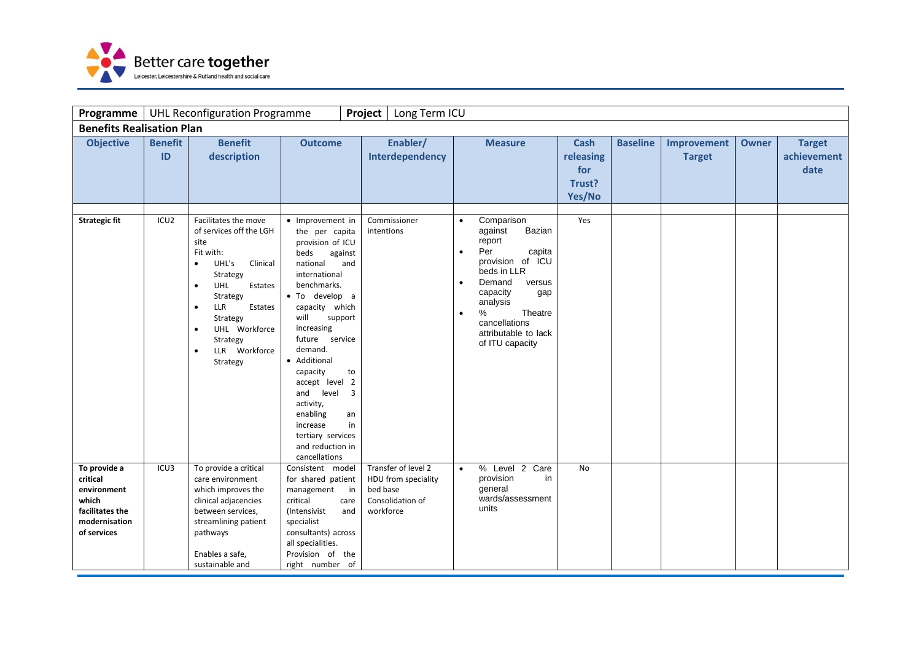

| Programme                                                                                           |                      | <b>UHL Reconfiguration Programme</b>                                                                                                                                                                                                                                                         |                                                                                                                                                                                                                                                                                                                                                                                                                                 | Project<br>Long Term ICU                                                                |                                                                                                                                                                                                                                                                        |                                                     |                 |                              |              |                                      |
|-----------------------------------------------------------------------------------------------------|----------------------|----------------------------------------------------------------------------------------------------------------------------------------------------------------------------------------------------------------------------------------------------------------------------------------------|---------------------------------------------------------------------------------------------------------------------------------------------------------------------------------------------------------------------------------------------------------------------------------------------------------------------------------------------------------------------------------------------------------------------------------|-----------------------------------------------------------------------------------------|------------------------------------------------------------------------------------------------------------------------------------------------------------------------------------------------------------------------------------------------------------------------|-----------------------------------------------------|-----------------|------------------------------|--------------|--------------------------------------|
| <b>Benefits Realisation Plan</b>                                                                    |                      |                                                                                                                                                                                                                                                                                              |                                                                                                                                                                                                                                                                                                                                                                                                                                 |                                                                                         |                                                                                                                                                                                                                                                                        |                                                     |                 |                              |              |                                      |
| <b>Objective</b>                                                                                    | <b>Benefit</b><br>ID | <b>Benefit</b><br>description                                                                                                                                                                                                                                                                | <b>Outcome</b>                                                                                                                                                                                                                                                                                                                                                                                                                  | Enabler/<br>Interdependency                                                             | <b>Measure</b>                                                                                                                                                                                                                                                         | <b>Cash</b><br>releasing<br>for<br>Trust?<br>Yes/No | <b>Baseline</b> | Improvement<br><b>Target</b> | <b>Owner</b> | <b>Target</b><br>achievement<br>date |
| <b>Strategic fit</b>                                                                                | ICU <sub>2</sub>     | Facilitates the move<br>of services off the LGH<br>site<br>Fit with:<br>UHL's<br>Clinical<br>$\bullet$<br>Strategy<br>UHL<br>Estates<br>$\bullet$<br>Strategy<br>LLR<br>Estates<br>$\bullet$<br>Strategy<br>UHL Workforce<br>$\bullet$<br>Strategy<br>LLR Workforce<br>$\bullet$<br>Strategy | • Improvement in<br>the per capita<br>provision of ICU<br>beds<br>against<br>national<br>and<br>international<br>benchmarks.<br>• To develop a<br>capacity which<br>will<br>support<br>increasing<br>future service<br>demand.<br>• Additional<br>capacity<br>to<br>accept level 2<br>$\overline{3}$<br>and<br>level<br>activity,<br>enabling<br>an<br>in<br>increase<br>tertiary services<br>and reduction in<br>cancellations | Commissioner<br>intentions                                                              | Comparison<br>$\bullet$<br>Bazian<br>against<br>report<br>Per<br>capita<br>$\bullet$<br>provision of ICU<br>beds in LLR<br>Demand<br>versus<br>$\bullet$<br>capacity<br>gap<br>analysis<br>$\%$<br>Theatre<br>cancellations<br>attributable to lack<br>of ITU capacity | Yes                                                 |                 |                              |              |                                      |
| To provide a<br>critical<br>environment<br>which<br>facilitates the<br>modernisation<br>of services | ICU3                 | To provide a critical<br>care environment<br>which improves the<br>clinical adjacencies<br>between services,<br>streamlining patient<br>pathways<br>Enables a safe,<br>sustainable and                                                                                                       | Consistent model<br>for shared patient<br>management<br>$\mathsf{in}$<br>critical<br>care<br>(Intensivist<br>and<br>specialist<br>consultants) across<br>all specialities.<br>Provision of the<br>right number of                                                                                                                                                                                                               | Transfer of level 2<br>HDU from speciality<br>bed base<br>Consolidation of<br>workforce | % Level 2 Care<br>$\bullet$<br>provision<br>in<br>general<br>wards/assessment<br>units                                                                                                                                                                                 | N <sub>o</sub>                                      |                 |                              |              |                                      |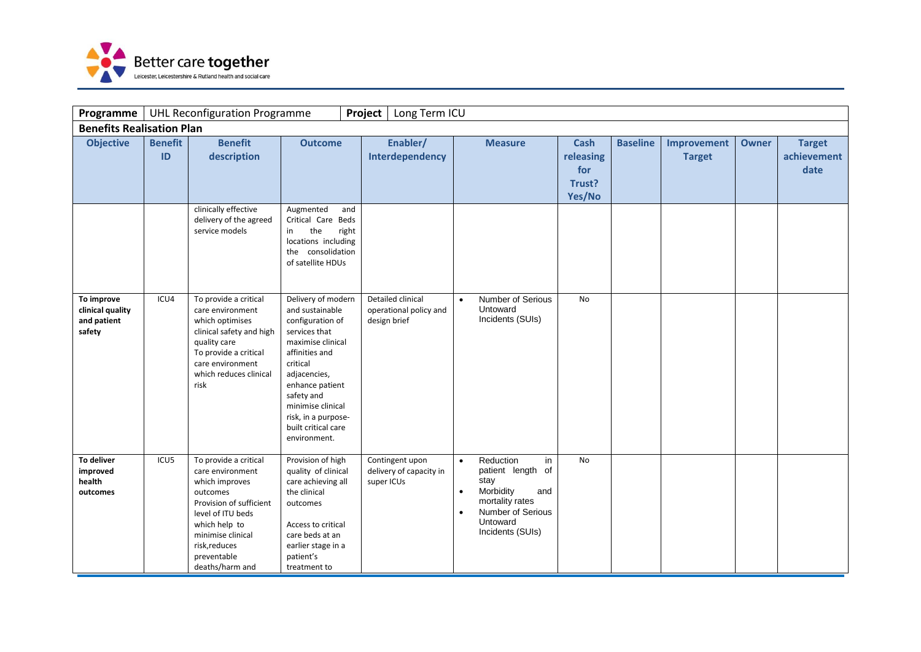

| Programme                                               |                      | <b>UHL Reconfiguration Programme</b>                                                                                                                                                                             |                                                                                                                                                                                                                                                                   | Project<br>Long Term ICU                                    |                                                                                                                                                                                        |                                                     |                 |                              |              |                                      |
|---------------------------------------------------------|----------------------|------------------------------------------------------------------------------------------------------------------------------------------------------------------------------------------------------------------|-------------------------------------------------------------------------------------------------------------------------------------------------------------------------------------------------------------------------------------------------------------------|-------------------------------------------------------------|----------------------------------------------------------------------------------------------------------------------------------------------------------------------------------------|-----------------------------------------------------|-----------------|------------------------------|--------------|--------------------------------------|
| <b>Benefits Realisation Plan</b>                        |                      |                                                                                                                                                                                                                  |                                                                                                                                                                                                                                                                   |                                                             |                                                                                                                                                                                        |                                                     |                 |                              |              |                                      |
| <b>Objective</b>                                        | <b>Benefit</b><br>ID | <b>Benefit</b><br>description                                                                                                                                                                                    | <b>Outcome</b>                                                                                                                                                                                                                                                    | Enabler/<br>Interdependency                                 | <b>Measure</b>                                                                                                                                                                         | <b>Cash</b><br>releasing<br>for<br>Trust?<br>Yes/No | <b>Baseline</b> | Improvement<br><b>Target</b> | <b>Owner</b> | <b>Target</b><br>achievement<br>date |
|                                                         |                      | clinically effective<br>delivery of the agreed<br>service models                                                                                                                                                 | Augmented<br>and<br>Critical Care Beds<br>the<br>right<br>in<br>locations including<br>the consolidation<br>of satellite HDUs                                                                                                                                     |                                                             |                                                                                                                                                                                        |                                                     |                 |                              |              |                                      |
| To improve<br>clinical quality<br>and patient<br>safety | ICU4                 | To provide a critical<br>care environment<br>which optimises<br>clinical safety and high<br>quality care<br>To provide a critical<br>care environment<br>which reduces clinical<br>risk                          | Delivery of modern<br>and sustainable<br>configuration of<br>services that<br>maximise clinical<br>affinities and<br>critical<br>adjacencies,<br>enhance patient<br>safety and<br>minimise clinical<br>risk, in a purpose-<br>built critical care<br>environment. | Detailed clinical<br>operational policy and<br>design brief | <b>Number of Serious</b><br>$\bullet$<br>Untoward<br>Incidents (SUIs)                                                                                                                  | No                                                  |                 |                              |              |                                      |
| To deliver<br>improved<br>health<br>outcomes            | ICU5                 | To provide a critical<br>care environment<br>which improves<br>outcomes<br>Provision of sufficient<br>level of ITU beds<br>which help to<br>minimise clinical<br>risk, reduces<br>preventable<br>deaths/harm and | Provision of high<br>quality of clinical<br>care achieving all<br>the clinical<br>outcomes<br>Access to critical<br>care beds at an<br>earlier stage in a<br>patient's<br>treatment to                                                                            | Contingent upon<br>delivery of capacity in<br>super ICUs    | Reduction<br>in<br>$\bullet$<br>patient length of<br>stay<br>Morbidity<br>and<br>$\bullet$<br>mortality rates<br><b>Number of Serious</b><br>$\bullet$<br>Untoward<br>Incidents (SUIs) | No                                                  |                 |                              |              |                                      |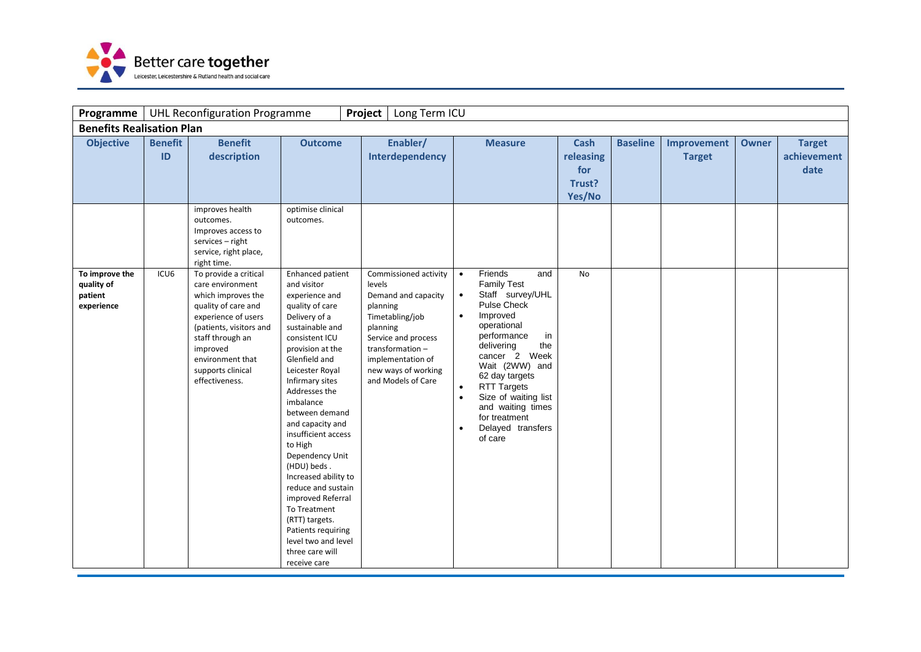

| Programme                                             |                      | <b>UHL Reconfiguration Programme</b>                                                                                                                                                                                                |                                                                                                                                                                                                                                                                                                                                                                                                                                                                                                                                    | Project<br>Long Term ICU                                                                                                                                                                                      |                                                                                                                                                                                                                                                                                                                                                                                                            |                                                     |                 |                              |              |                                      |
|-------------------------------------------------------|----------------------|-------------------------------------------------------------------------------------------------------------------------------------------------------------------------------------------------------------------------------------|------------------------------------------------------------------------------------------------------------------------------------------------------------------------------------------------------------------------------------------------------------------------------------------------------------------------------------------------------------------------------------------------------------------------------------------------------------------------------------------------------------------------------------|---------------------------------------------------------------------------------------------------------------------------------------------------------------------------------------------------------------|------------------------------------------------------------------------------------------------------------------------------------------------------------------------------------------------------------------------------------------------------------------------------------------------------------------------------------------------------------------------------------------------------------|-----------------------------------------------------|-----------------|------------------------------|--------------|--------------------------------------|
| <b>Benefits Realisation Plan</b>                      |                      |                                                                                                                                                                                                                                     |                                                                                                                                                                                                                                                                                                                                                                                                                                                                                                                                    |                                                                                                                                                                                                               |                                                                                                                                                                                                                                                                                                                                                                                                            |                                                     |                 |                              |              |                                      |
| <b>Objective</b>                                      | <b>Benefit</b><br>ID | <b>Benefit</b><br>description                                                                                                                                                                                                       | <b>Outcome</b>                                                                                                                                                                                                                                                                                                                                                                                                                                                                                                                     | Enabler/<br>Interdependency                                                                                                                                                                                   | <b>Measure</b>                                                                                                                                                                                                                                                                                                                                                                                             | <b>Cash</b><br>releasing<br>for<br>Trust?<br>Yes/No | <b>Baseline</b> | Improvement<br><b>Target</b> | <b>Owner</b> | <b>Target</b><br>achievement<br>date |
|                                                       |                      | improves health<br>outcomes.<br>Improves access to<br>services - right<br>service, right place,<br>right time.                                                                                                                      | optimise clinical<br>outcomes.                                                                                                                                                                                                                                                                                                                                                                                                                                                                                                     |                                                                                                                                                                                                               |                                                                                                                                                                                                                                                                                                                                                                                                            |                                                     |                 |                              |              |                                      |
| To improve the<br>quality of<br>patient<br>experience | ICU <sub>6</sub>     | To provide a critical<br>care environment<br>which improves the<br>quality of care and<br>experience of users<br>(patients, visitors and<br>staff through an<br>improved<br>environment that<br>supports clinical<br>effectiveness. | Enhanced patient<br>and visitor<br>experience and<br>quality of care<br>Delivery of a<br>sustainable and<br>consistent ICU<br>provision at the<br>Glenfield and<br>Leicester Royal<br>Infirmary sites<br>Addresses the<br>imbalance<br>between demand<br>and capacity and<br>insufficient access<br>to High<br>Dependency Unit<br>(HDU) beds.<br>Increased ability to<br>reduce and sustain<br>improved Referral<br>To Treatment<br>(RTT) targets.<br>Patients requiring<br>level two and level<br>three care will<br>receive care | Commissioned activity<br>levels<br>Demand and capacity<br>planning<br>Timetabling/job<br>planning<br>Service and process<br>transformation-<br>implementation of<br>new ways of working<br>and Models of Care | Friends<br>and<br>$\bullet$<br><b>Family Test</b><br>Staff survey/UHL<br>$\bullet$<br><b>Pulse Check</b><br>Improved<br>$\bullet$<br>operational<br>performance<br>in<br>the<br>delivering<br>cancer 2 Week<br>Wait (2WW) and<br>62 day targets<br><b>RTT Targets</b><br>$\bullet$<br>Size of waiting list<br>$\bullet$<br>and waiting times<br>for treatment<br>Delayed transfers<br>$\bullet$<br>of care | <b>No</b>                                           |                 |                              |              |                                      |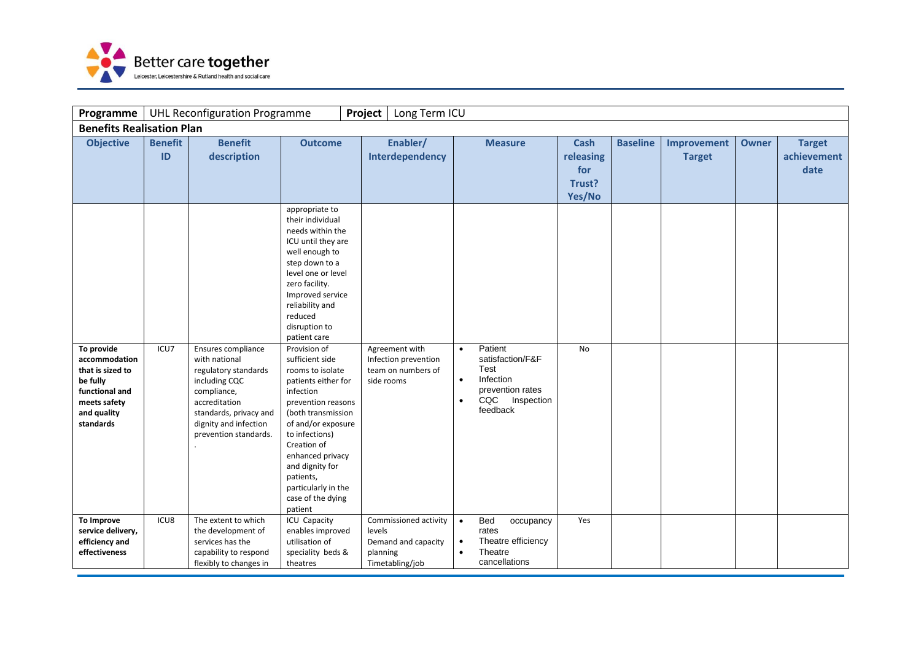

| Programme                                                                                                                 |                      | <b>UHL Reconfiguration Programme</b>                                                                                                                                                     |                                                                                                                                                                                                                                                                                                                                                                                                                                                                                                                                    | Project<br>Long Term ICU                                                              |                                                                                                                                           |                                                     |                 |                              |              |                                      |
|---------------------------------------------------------------------------------------------------------------------------|----------------------|------------------------------------------------------------------------------------------------------------------------------------------------------------------------------------------|------------------------------------------------------------------------------------------------------------------------------------------------------------------------------------------------------------------------------------------------------------------------------------------------------------------------------------------------------------------------------------------------------------------------------------------------------------------------------------------------------------------------------------|---------------------------------------------------------------------------------------|-------------------------------------------------------------------------------------------------------------------------------------------|-----------------------------------------------------|-----------------|------------------------------|--------------|--------------------------------------|
| <b>Benefits Realisation Plan</b>                                                                                          |                      |                                                                                                                                                                                          |                                                                                                                                                                                                                                                                                                                                                                                                                                                                                                                                    |                                                                                       |                                                                                                                                           |                                                     |                 |                              |              |                                      |
| <b>Objective</b>                                                                                                          | <b>Benefit</b><br>ID | <b>Benefit</b><br>description                                                                                                                                                            | <b>Outcome</b><br>appropriate to                                                                                                                                                                                                                                                                                                                                                                                                                                                                                                   | Enabler/<br>Interdependency                                                           | <b>Measure</b>                                                                                                                            | <b>Cash</b><br>releasing<br>for<br>Trust?<br>Yes/No | <b>Baseline</b> | Improvement<br><b>Target</b> | <b>Owner</b> | <b>Target</b><br>achievement<br>date |
| To provide<br>accommodation<br>that is sized to<br>be fully<br>functional and<br>meets safety<br>and quality<br>standards | ICU7                 | Ensures compliance<br>with national<br>regulatory standards<br>including CQC<br>compliance,<br>accreditation<br>standards, privacy and<br>dignity and infection<br>prevention standards. | their individual<br>needs within the<br>ICU until they are<br>well enough to<br>step down to a<br>level one or level<br>zero facility.<br>Improved service<br>reliability and<br>reduced<br>disruption to<br>patient care<br>Provision of<br>sufficient side<br>rooms to isolate<br>patients either for<br>infection<br>prevention reasons<br>(both transmission<br>of and/or exposure<br>to infections)<br>Creation of<br>enhanced privacy<br>and dignity for<br>patients,<br>particularly in the<br>case of the dying<br>patient | Agreement with<br>Infection prevention<br>team on numbers of<br>side rooms            | Patient<br>$\bullet$<br>satisfaction/F&F<br>Test<br>Infection<br>$\bullet$<br>prevention rates<br>CQC Inspection<br>$\bullet$<br>feedback | No.                                                 |                 |                              |              |                                      |
| To Improve<br>service delivery,<br>efficiency and<br>effectiveness                                                        | ICU8                 | The extent to which<br>the development of<br>services has the<br>capability to respond<br>flexibly to changes in                                                                         | ICU Capacity<br>enables improved<br>utilisation of<br>speciality beds &<br>theatres                                                                                                                                                                                                                                                                                                                                                                                                                                                | Commissioned activity<br>levels<br>Demand and capacity<br>planning<br>Timetabling/job | Bed<br>occupancy<br>$\bullet$<br>rates<br>Theatre efficiency<br>$\bullet$<br>Theatre<br>$\bullet$<br>cancellations                        | Yes                                                 |                 |                              |              |                                      |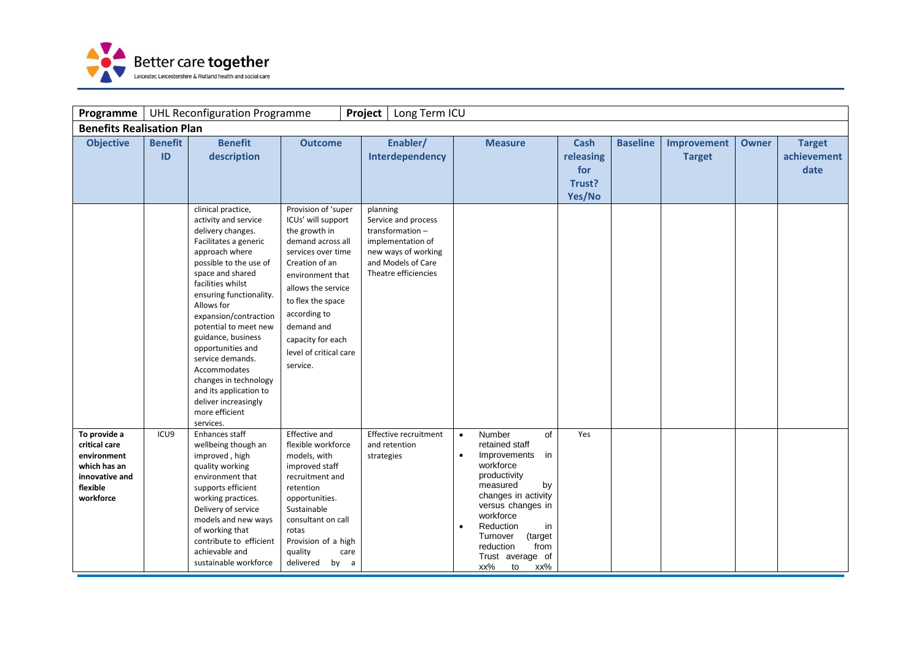

| <b>Programme</b>                                                                                        |                      | <b>UHL Reconfiguration Programme</b>                                                                                                                                                                                                                                                                                                                                                                              |                                                                                                                                                                                                                                                                                                   | Project<br>Long Term ICU                                                                                                                                                    |                                                                                                                                                                                                                                                                                                            |                                              |                 |                              |              |                                      |
|---------------------------------------------------------------------------------------------------------|----------------------|-------------------------------------------------------------------------------------------------------------------------------------------------------------------------------------------------------------------------------------------------------------------------------------------------------------------------------------------------------------------------------------------------------------------|---------------------------------------------------------------------------------------------------------------------------------------------------------------------------------------------------------------------------------------------------------------------------------------------------|-----------------------------------------------------------------------------------------------------------------------------------------------------------------------------|------------------------------------------------------------------------------------------------------------------------------------------------------------------------------------------------------------------------------------------------------------------------------------------------------------|----------------------------------------------|-----------------|------------------------------|--------------|--------------------------------------|
| <b>Benefits Realisation Plan</b>                                                                        |                      |                                                                                                                                                                                                                                                                                                                                                                                                                   |                                                                                                                                                                                                                                                                                                   |                                                                                                                                                                             |                                                                                                                                                                                                                                                                                                            |                                              |                 |                              |              |                                      |
| <b>Objective</b>                                                                                        | <b>Benefit</b><br>ID | <b>Benefit</b><br>description<br>clinical practice,<br>activity and service<br>delivery changes.<br>Facilitates a generic<br>approach where<br>possible to the use of<br>space and shared<br>facilities whilst<br>ensuring functionality.<br>Allows for<br>expansion/contraction<br>potential to meet new<br>guidance, business<br>opportunities and<br>service demands.<br>Accommodates<br>changes in technology | <b>Outcome</b><br>Provision of 'super<br>ICUs' will support<br>the growth in<br>demand across all<br>services over time<br>Creation of an<br>environment that<br>allows the service<br>to flex the space<br>according to<br>demand and<br>capacity for each<br>level of critical care<br>service. | Enabler/<br>Interdependency<br>planning<br>Service and process<br>transformation-<br>implementation of<br>new ways of working<br>and Models of Care<br>Theatre efficiencies | <b>Measure</b>                                                                                                                                                                                                                                                                                             | Cash<br>releasing<br>for<br>Trust?<br>Yes/No | <b>Baseline</b> | Improvement<br><b>Target</b> | <b>Owner</b> | <b>Target</b><br>achievement<br>date |
|                                                                                                         |                      | and its application to<br>deliver increasingly<br>more efficient<br>services.                                                                                                                                                                                                                                                                                                                                     |                                                                                                                                                                                                                                                                                                   |                                                                                                                                                                             |                                                                                                                                                                                                                                                                                                            |                                              |                 |                              |              |                                      |
| To provide a<br>critical care<br>environment<br>which has an<br>innovative and<br>flexible<br>workforce | ICU9                 | Enhances staff<br>wellbeing though an<br>improved, high<br>quality working<br>environment that<br>supports efficient<br>working practices.<br>Delivery of service<br>models and new ways<br>of working that<br>contribute to efficient<br>achievable and<br>sustainable workforce                                                                                                                                 | <b>Effective and</b><br>flexible workforce<br>models, with<br>improved staff<br>recruitment and<br>retention<br>opportunities.<br>Sustainable<br>consultant on call<br>rotas<br>Provision of a high<br>quality<br>care<br>delivered<br>by a                                                       | Effective recruitment<br>and retention<br>strategies                                                                                                                        | of<br>Number<br>$\bullet$<br>retained staff<br>Improvements<br>in<br>$\bullet$<br>workforce<br>productivity<br>measured<br>by<br>changes in activity<br>versus changes in<br>workforce<br>Reduction<br>in<br>$\bullet$<br>(target<br>Turnover<br>reduction<br>from<br>Trust average of<br>xx%<br>xx%<br>to | Yes                                          |                 |                              |              |                                      |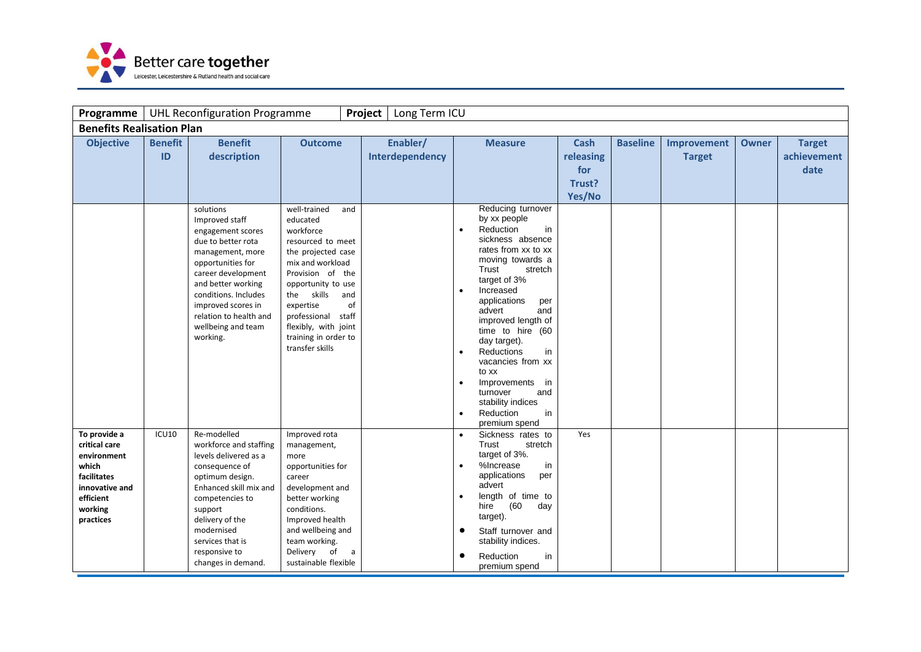

| Programme                                                                                                                   |                      | <b>UHL Reconfiguration Programme</b>                                                                                                                                                                                                                                                                   |                                                                                                                                                                                                                                                                                         | Project          | Long Term ICU               |                                                                                                                                                                                                                                                                                                                    |                                   |                                                     |                 |                              |              |                                      |
|-----------------------------------------------------------------------------------------------------------------------------|----------------------|--------------------------------------------------------------------------------------------------------------------------------------------------------------------------------------------------------------------------------------------------------------------------------------------------------|-----------------------------------------------------------------------------------------------------------------------------------------------------------------------------------------------------------------------------------------------------------------------------------------|------------------|-----------------------------|--------------------------------------------------------------------------------------------------------------------------------------------------------------------------------------------------------------------------------------------------------------------------------------------------------------------|-----------------------------------|-----------------------------------------------------|-----------------|------------------------------|--------------|--------------------------------------|
| <b>Benefits Realisation Plan</b>                                                                                            |                      |                                                                                                                                                                                                                                                                                                        |                                                                                                                                                                                                                                                                                         |                  |                             |                                                                                                                                                                                                                                                                                                                    |                                   |                                                     |                 |                              |              |                                      |
| <b>Objective</b>                                                                                                            | <b>Benefit</b><br>ID | <b>Benefit</b><br>description<br>solutions<br>Improved staff<br>engagement scores<br>due to better rota<br>management, more<br>opportunities for<br>career development<br>and better working<br>conditions. Includes<br>improved scores in<br>relation to health and<br>wellbeing and team<br>working. | <b>Outcome</b><br>well-trained<br>educated<br>workforce<br>resourced to meet<br>the projected case<br>mix and workload<br>Provision of the<br>opportunity to use<br>skills<br>the<br>expertise<br>professional staff<br>flexibly, with joint<br>training in order to<br>transfer skills | and<br>and<br>of | Enabler/<br>Interdependency | <b>Measure</b><br>Reducing turnover<br>by xx people<br>Reduction<br>$\bullet$<br>sickness absence<br>rates from xx to xx<br>moving towards a<br>Trust<br>target of 3%<br>Increased<br>applications<br>advert<br>improved length of<br>time to hire (60<br>day target).<br>Reductions<br>vacancies from xx<br>to xx | in<br>stretch<br>per<br>and<br>in | <b>Cash</b><br>releasing<br>for<br>Trust?<br>Yes/No | <b>Baseline</b> | Improvement<br><b>Target</b> | <b>Owner</b> | <b>Target</b><br>achievement<br>date |
|                                                                                                                             |                      |                                                                                                                                                                                                                                                                                                        |                                                                                                                                                                                                                                                                                         |                  |                             | Improvements<br>$\bullet$<br>turnover<br>stability indices<br>Reduction<br>premium spend                                                                                                                                                                                                                           | in<br>and<br>in                   |                                                     |                 |                              |              |                                      |
| To provide a<br>critical care<br>environment<br>which<br>facilitates<br>innovative and<br>efficient<br>working<br>practices | ICU10                | Re-modelled<br>workforce and staffing<br>levels delivered as a<br>consequence of<br>optimum design.<br>Enhanced skill mix and<br>competencies to<br>support<br>delivery of the<br>modernised<br>services that is<br>responsive to<br>changes in demand.                                                | Improved rota<br>management,<br>more<br>opportunities for<br>career<br>development and<br>better working<br>conditions.<br>Improved health<br>and wellbeing and<br>team working.<br>Delivery of<br>sustainable flexible                                                                 | a                |                             | Sickness rates to<br>$\bullet$<br>Trust<br>target of 3%.<br>%Increase<br>applications<br>advert<br>length of time to<br>(60)<br>hire<br>target).<br>Staff turnover and<br>$\bullet$<br>stability indices.<br>Reduction<br>premium spend                                                                            | stretch<br>in<br>per<br>day<br>in | Yes                                                 |                 |                              |              |                                      |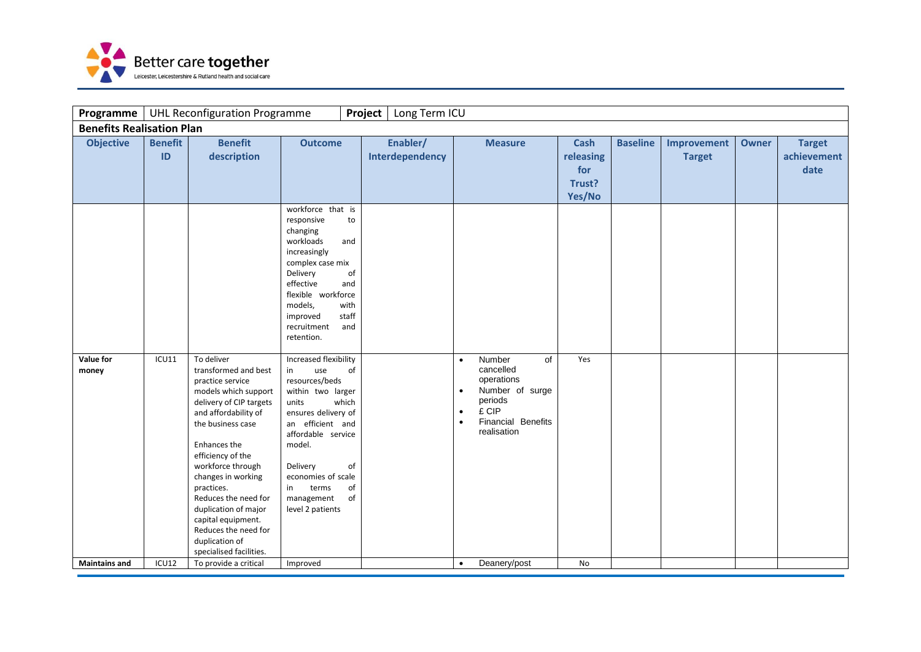

| Programme                        |                      | <b>UHL Reconfiguration Programme</b>                                                                                                                                                                                                                                                                                                                                                            |                                                                                                                                                                                                                                                                                   | Project<br>Long Term ICU    |                                                                                                                                                                         |                                                     |                 |                              |              |                                      |
|----------------------------------|----------------------|-------------------------------------------------------------------------------------------------------------------------------------------------------------------------------------------------------------------------------------------------------------------------------------------------------------------------------------------------------------------------------------------------|-----------------------------------------------------------------------------------------------------------------------------------------------------------------------------------------------------------------------------------------------------------------------------------|-----------------------------|-------------------------------------------------------------------------------------------------------------------------------------------------------------------------|-----------------------------------------------------|-----------------|------------------------------|--------------|--------------------------------------|
| <b>Benefits Realisation Plan</b> |                      |                                                                                                                                                                                                                                                                                                                                                                                                 |                                                                                                                                                                                                                                                                                   |                             |                                                                                                                                                                         |                                                     |                 |                              |              |                                      |
| <b>Objective</b>                 | <b>Benefit</b><br>ID | <b>Benefit</b><br>description                                                                                                                                                                                                                                                                                                                                                                   | <b>Outcome</b>                                                                                                                                                                                                                                                                    | Enabler/<br>Interdependency | <b>Measure</b>                                                                                                                                                          | <b>Cash</b><br>releasing<br>for<br>Trust?<br>Yes/No | <b>Baseline</b> | Improvement<br><b>Target</b> | <b>Owner</b> | <b>Target</b><br>achievement<br>date |
|                                  |                      |                                                                                                                                                                                                                                                                                                                                                                                                 | workforce that is<br>responsive<br>to<br>changing<br>workloads<br>and<br>increasingly<br>complex case mix<br>Delivery<br>of<br>effective<br>and<br>flexible workforce<br>models,<br>with<br>staff<br>improved<br>recruitment<br>and<br>retention.                                 |                             |                                                                                                                                                                         |                                                     |                 |                              |              |                                      |
| Value for<br>money               | <b>ICU11</b>         | To deliver<br>transformed and best<br>practice service<br>models which support<br>delivery of CIP targets<br>and affordability of<br>the business case<br>Enhances the<br>efficiency of the<br>workforce through<br>changes in working<br>practices.<br>Reduces the need for<br>duplication of major<br>capital equipment.<br>Reduces the need for<br>duplication of<br>specialised facilities. | Increased flexibility<br>use<br>of<br>in<br>resources/beds<br>within two larger<br>which<br>units<br>ensures delivery of<br>an efficient and<br>affordable service<br>model.<br>Delivery<br>οf<br>economies of scale<br>of<br>in<br>terms<br>of<br>management<br>level 2 patients |                             | Number<br>of<br>$\bullet$<br>cancelled<br>operations<br>Number of surge<br>$\bullet$<br>periods<br>£ CIP<br>$\bullet$<br>Financial Benefits<br>$\bullet$<br>realisation | Yes                                                 |                 |                              |              |                                      |
| <b>Maintains and</b>             | ICU12                | To provide a critical                                                                                                                                                                                                                                                                                                                                                                           | Improved                                                                                                                                                                                                                                                                          |                             | Deanery/post<br>$\bullet$                                                                                                                                               | No                                                  |                 |                              |              |                                      |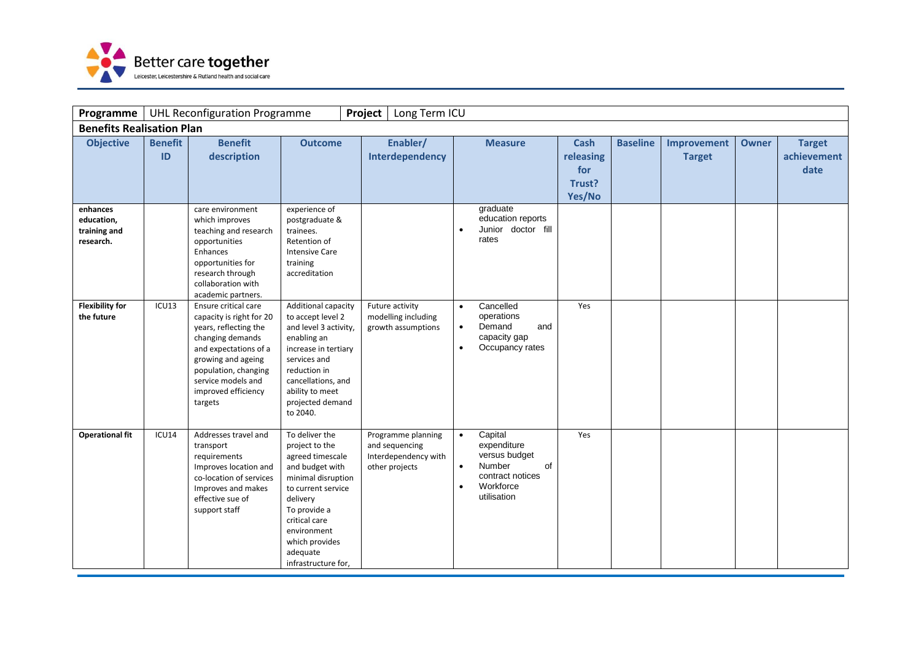

| Programme                                           |                      | <b>UHL Reconfiguration Programme</b>                                                                                                                                                                                         |                                                                                                                                                                                                                                      | Project<br>Long Term ICU                                                       |                                                                                                                                                |                                                     |                 |                              |              |                                      |
|-----------------------------------------------------|----------------------|------------------------------------------------------------------------------------------------------------------------------------------------------------------------------------------------------------------------------|--------------------------------------------------------------------------------------------------------------------------------------------------------------------------------------------------------------------------------------|--------------------------------------------------------------------------------|------------------------------------------------------------------------------------------------------------------------------------------------|-----------------------------------------------------|-----------------|------------------------------|--------------|--------------------------------------|
| <b>Benefits Realisation Plan</b>                    |                      |                                                                                                                                                                                                                              |                                                                                                                                                                                                                                      |                                                                                |                                                                                                                                                |                                                     |                 |                              |              |                                      |
| <b>Objective</b>                                    | <b>Benefit</b><br>ID | <b>Benefit</b><br>description                                                                                                                                                                                                | <b>Outcome</b>                                                                                                                                                                                                                       | Enabler/<br>Interdependency                                                    | <b>Measure</b>                                                                                                                                 | <b>Cash</b><br>releasing<br>for<br>Trust?<br>Yes/No | <b>Baseline</b> | Improvement<br><b>Target</b> | <b>Owner</b> | <b>Target</b><br>achievement<br>date |
| enhances<br>education,<br>training and<br>research. |                      | care environment<br>which improves<br>teaching and research<br>opportunities<br>Enhances<br>opportunities for<br>research through<br>collaboration with<br>academic partners.                                                | experience of<br>postgraduate &<br>trainees.<br>Retention of<br><b>Intensive Care</b><br>training<br>accreditation                                                                                                                   |                                                                                | graduate<br>education reports<br>Junior doctor fill<br>rates                                                                                   |                                                     |                 |                              |              |                                      |
| <b>Flexibility for</b><br>the future                | ICU13                | Ensure critical care<br>capacity is right for 20<br>years, reflecting the<br>changing demands<br>and expectations of a<br>growing and ageing<br>population, changing<br>service models and<br>improved efficiency<br>targets | Additional capacity<br>to accept level 2<br>and level 3 activity,<br>enabling an<br>increase in tertiary<br>services and<br>reduction in<br>cancellations, and<br>ability to meet<br>projected demand<br>to 2040.                    | Future activity<br>modelling including<br>growth assumptions                   | Cancelled<br>$\bullet$<br>operations<br>Demand<br>and<br>$\bullet$<br>capacity gap<br>Occupancy rates<br>$\bullet$                             | Yes                                                 |                 |                              |              |                                      |
| <b>Operational fit</b>                              | ICU14                | Addresses travel and<br>transport<br>requirements<br>Improves location and<br>co-location of services<br>Improves and makes<br>effective sue of<br>support staff                                                             | To deliver the<br>project to the<br>agreed timescale<br>and budget with<br>minimal disruption<br>to current service<br>delivery<br>To provide a<br>critical care<br>environment<br>which provides<br>adequate<br>infrastructure for, | Programme planning<br>and sequencing<br>Interdependency with<br>other projects | Capital<br>$\bullet$<br>expenditure<br>versus budget<br>Number<br>of<br>$\bullet$<br>contract notices<br>Workforce<br>$\bullet$<br>utilisation | Yes                                                 |                 |                              |              |                                      |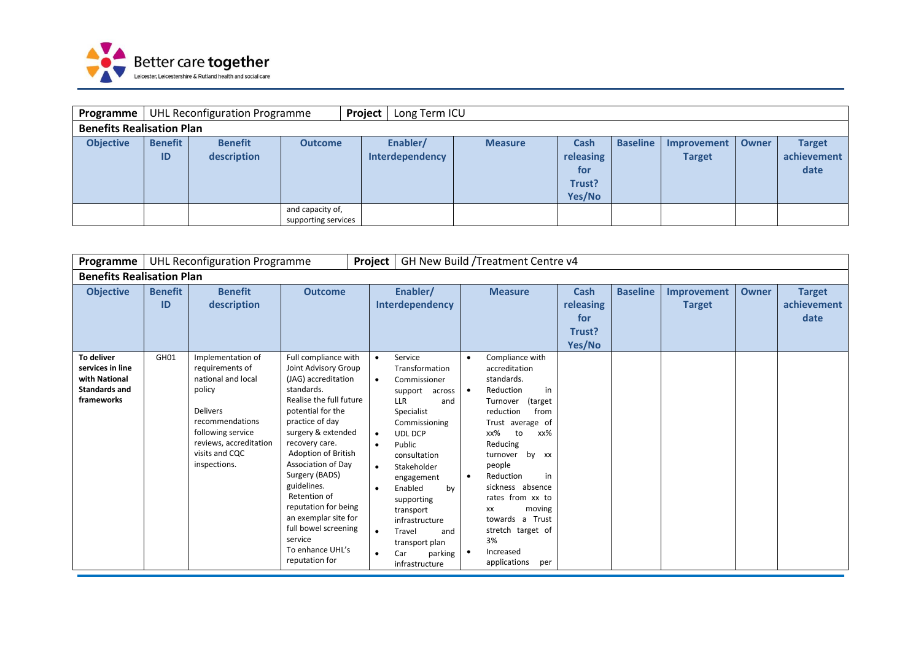

| <b>Programme</b>                 |                      | <b>UHL Reconfiguration Programme</b> |                                         | Project | Long Term ICU               |                |                                              |                 |                              |              |                                      |
|----------------------------------|----------------------|--------------------------------------|-----------------------------------------|---------|-----------------------------|----------------|----------------------------------------------|-----------------|------------------------------|--------------|--------------------------------------|
| <b>Benefits Realisation Plan</b> |                      |                                      |                                         |         |                             |                |                                              |                 |                              |              |                                      |
| <b>Objective</b>                 | <b>Benefit</b><br>ID | <b>Benefit</b><br>description        | <b>Outcome</b>                          |         | Enabler/<br>Interdependency | <b>Measure</b> | Cash<br>releasing<br>for<br>Trust?<br>Yes/No | <b>Baseline</b> | Improvement<br><b>Target</b> | <b>Owner</b> | <b>Target</b><br>achievement<br>date |
|                                  |                      |                                      | and capacity of,<br>supporting services |         |                             |                |                                              |                 |                              |              |                                      |

| Programme                                                                             |                                                    | <b>UHL Reconfiguration Programme</b>                                                                                                                                                        |                                                                                                                                                                                                                                                                                                                                                                                                                     | Project                                                                                              |                                                                                                                                                                                                                                                                                                                                  |                                                  | GH New Build / Treatment Centre v4                                                                                                                                                                                                                                                                                                                            |                                              |                 |                              |              |                                      |
|---------------------------------------------------------------------------------------|----------------------------------------------------|---------------------------------------------------------------------------------------------------------------------------------------------------------------------------------------------|---------------------------------------------------------------------------------------------------------------------------------------------------------------------------------------------------------------------------------------------------------------------------------------------------------------------------------------------------------------------------------------------------------------------|------------------------------------------------------------------------------------------------------|----------------------------------------------------------------------------------------------------------------------------------------------------------------------------------------------------------------------------------------------------------------------------------------------------------------------------------|--------------------------------------------------|---------------------------------------------------------------------------------------------------------------------------------------------------------------------------------------------------------------------------------------------------------------------------------------------------------------------------------------------------------------|----------------------------------------------|-----------------|------------------------------|--------------|--------------------------------------|
|                                                                                       | <b>Benefits Realisation Plan</b><br><b>Benefit</b> |                                                                                                                                                                                             |                                                                                                                                                                                                                                                                                                                                                                                                                     |                                                                                                      |                                                                                                                                                                                                                                                                                                                                  |                                                  |                                                                                                                                                                                                                                                                                                                                                               |                                              |                 |                              |              |                                      |
| <b>Objective</b>                                                                      | <b>Benefit</b><br>ID                               | description                                                                                                                                                                                 | <b>Outcome</b>                                                                                                                                                                                                                                                                                                                                                                                                      |                                                                                                      | Enabler/<br>Interdependency                                                                                                                                                                                                                                                                                                      |                                                  | <b>Measure</b>                                                                                                                                                                                                                                                                                                                                                | Cash<br>releasing<br>for<br>Trust?<br>Yes/No | <b>Baseline</b> | Improvement<br><b>Target</b> | <b>Owner</b> | <b>Target</b><br>achievement<br>date |
| To deliver<br>services in line<br>with National<br><b>Standards and</b><br>frameworks | GH <sub>01</sub>                                   | Implementation of<br>requirements of<br>national and local<br>policy<br><b>Delivers</b><br>recommendations<br>following service<br>reviews, accreditation<br>visits and CQC<br>inspections. | Full compliance with<br>Joint Advisory Group<br>(JAG) accreditation<br>standards.<br>Realise the full future<br>potential for the<br>practice of day<br>surgery & extended<br>recovery care.<br>Adoption of British<br>Association of Day<br>Surgery (BADS)<br>guidelines.<br>Retention of<br>reputation for being<br>an exemplar site for<br>full bowel screening<br>service<br>To enhance UHL's<br>reputation for | $\bullet$<br>$\bullet$<br>$\bullet$<br>$\bullet$<br>$\bullet$<br>$\bullet$<br>$\bullet$<br>$\bullet$ | Service<br>Transformation<br>Commissioner<br>support<br>across<br><b>LLR</b><br>and<br>Specialist<br>Commissioning<br><b>UDL DCP</b><br>Public<br>consultation<br>Stakeholder<br>engagement<br>Enabled<br>by<br>supporting<br>transport<br>infrastructure<br>Travel<br>and<br>transport plan<br>parking<br>Car<br>infrastructure | $\bullet$<br>$\bullet$<br>$\bullet$<br>$\bullet$ | Compliance with<br>accreditation<br>standards.<br>Reduction<br>in<br>(target<br>Turnover<br>reduction<br>from<br>Trust average of<br>xx%<br>xx%<br>to<br>Reducing<br>by xx<br>turnover<br>people<br>Reduction<br>in<br>sickness absence<br>rates from xx to<br>moving<br>xх<br>towards a Trust<br>stretch target of<br>3%<br>Increased<br>applications<br>per |                                              |                 |                              |              |                                      |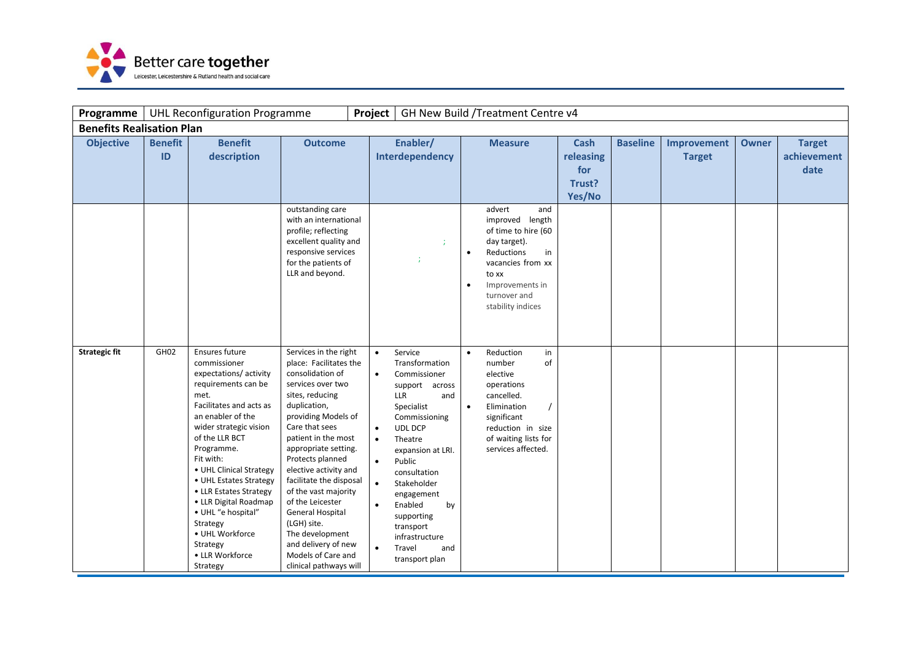

| Programme                        |                      | <b>UHL Reconfiguration Programme</b>                                                                                                                                                                                                                                                                                                                                                                                  |                                                                                                                                                                                                                                                                                                                                                                                                                                                                             | Project                                                                                              |                                                                                                                                                                                                                                                                                                                    |                        | GH New Build / Treatment Centre v4                                                                                                                                                |                                                     |                 |                              |              |                                      |
|----------------------------------|----------------------|-----------------------------------------------------------------------------------------------------------------------------------------------------------------------------------------------------------------------------------------------------------------------------------------------------------------------------------------------------------------------------------------------------------------------|-----------------------------------------------------------------------------------------------------------------------------------------------------------------------------------------------------------------------------------------------------------------------------------------------------------------------------------------------------------------------------------------------------------------------------------------------------------------------------|------------------------------------------------------------------------------------------------------|--------------------------------------------------------------------------------------------------------------------------------------------------------------------------------------------------------------------------------------------------------------------------------------------------------------------|------------------------|-----------------------------------------------------------------------------------------------------------------------------------------------------------------------------------|-----------------------------------------------------|-----------------|------------------------------|--------------|--------------------------------------|
| <b>Benefits Realisation Plan</b> |                      |                                                                                                                                                                                                                                                                                                                                                                                                                       |                                                                                                                                                                                                                                                                                                                                                                                                                                                                             |                                                                                                      |                                                                                                                                                                                                                                                                                                                    |                        |                                                                                                                                                                                   |                                                     |                 |                              |              |                                      |
| <b>Objective</b>                 | <b>Benefit</b><br>ID | <b>Benefit</b><br>description                                                                                                                                                                                                                                                                                                                                                                                         | <b>Outcome</b>                                                                                                                                                                                                                                                                                                                                                                                                                                                              |                                                                                                      | Enabler/<br>Interdependency                                                                                                                                                                                                                                                                                        |                        | <b>Measure</b>                                                                                                                                                                    | <b>Cash</b><br>releasing<br>for<br>Trust?<br>Yes/No | <b>Baseline</b> | Improvement<br><b>Target</b> | <b>Owner</b> | <b>Target</b><br>achievement<br>date |
|                                  |                      |                                                                                                                                                                                                                                                                                                                                                                                                                       | outstanding care<br>with an international<br>profile; reflecting<br>excellent quality and<br>responsive services<br>for the patients of<br>LLR and beyond.                                                                                                                                                                                                                                                                                                                  |                                                                                                      |                                                                                                                                                                                                                                                                                                                    | $\bullet$<br>$\bullet$ | advert<br>and<br>improved length<br>of time to hire (60<br>day target).<br>Reductions<br>in<br>vacancies from xx<br>to xx<br>Improvements in<br>turnover and<br>stability indices |                                                     |                 |                              |              |                                      |
| <b>Strategic fit</b>             | GH <sub>02</sub>     | Ensures future<br>commissioner<br>expectations/activity<br>requirements can be<br>met.<br>Facilitates and acts as<br>an enabler of the<br>wider strategic vision<br>of the LLR BCT<br>Programme.<br>Fit with:<br>• UHL Clinical Strategy<br>• UHL Estates Strategy<br>• LLR Estates Strategy<br>• LLR Digital Roadmap<br>• UHL "e hospital"<br>Strategy<br>• UHL Workforce<br>Strategy<br>• LLR Workforce<br>Strategy | Services in the right<br>place: Facilitates the<br>consolidation of<br>services over two<br>sites, reducing<br>duplication,<br>providing Models of<br>Care that sees<br>patient in the most<br>appropriate setting.<br>Protects planned<br>elective activity and<br>facilitate the disposal<br>of the vast majority<br>of the Leicester<br><b>General Hospital</b><br>(LGH) site.<br>The development<br>and delivery of new<br>Models of Care and<br>clinical pathways will | $\bullet$<br>$\bullet$<br>$\bullet$<br>$\bullet$<br>$\bullet$<br>$\bullet$<br>$\bullet$<br>$\bullet$ | Service<br>Transformation<br>Commissioner<br>support across<br><b>LLR</b><br>and<br>Specialist<br>Commissioning<br>UDL DCP<br>Theatre<br>expansion at LRI.<br>Public<br>consultation<br>Stakeholder<br>engagement<br>Enabled<br>by<br>supporting<br>transport<br>infrastructure<br>Travel<br>and<br>transport plan | $\bullet$<br>$\bullet$ | Reduction<br>in<br>of<br>number<br>elective<br>operations<br>cancelled.<br>Elimination<br>significant<br>reduction in size<br>of waiting lists for<br>services affected.          |                                                     |                 |                              |              |                                      |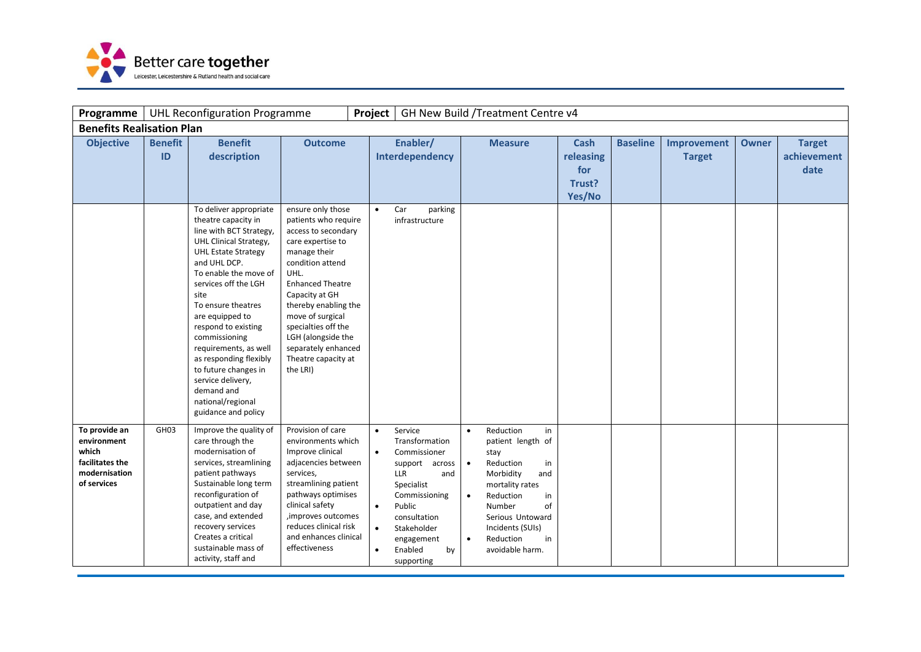

| Programme                                                                                |                      | <b>UHL Reconfiguration Programme</b>                                                                                                                                                                                                                                                                                                                                                                                       |                                                                                                                                                                                                                                                                                                              | Project                                                       |                                                                                                                                                                                                |                                                  | GH New Build /Treatment Centre v4                                                                                                                                                                                       |                                                     |                 |                              |              |                                      |
|------------------------------------------------------------------------------------------|----------------------|----------------------------------------------------------------------------------------------------------------------------------------------------------------------------------------------------------------------------------------------------------------------------------------------------------------------------------------------------------------------------------------------------------------------------|--------------------------------------------------------------------------------------------------------------------------------------------------------------------------------------------------------------------------------------------------------------------------------------------------------------|---------------------------------------------------------------|------------------------------------------------------------------------------------------------------------------------------------------------------------------------------------------------|--------------------------------------------------|-------------------------------------------------------------------------------------------------------------------------------------------------------------------------------------------------------------------------|-----------------------------------------------------|-----------------|------------------------------|--------------|--------------------------------------|
| <b>Benefits Realisation Plan</b>                                                         |                      |                                                                                                                                                                                                                                                                                                                                                                                                                            |                                                                                                                                                                                                                                                                                                              |                                                               |                                                                                                                                                                                                |                                                  |                                                                                                                                                                                                                         |                                                     |                 |                              |              |                                      |
| <b>Objective</b>                                                                         | <b>Benefit</b><br>ID | <b>Benefit</b><br>description<br>To deliver appropriate                                                                                                                                                                                                                                                                                                                                                                    | <b>Outcome</b><br>ensure only those                                                                                                                                                                                                                                                                          | $\bullet$                                                     | Enabler/<br>Interdependency<br>Car<br>parking                                                                                                                                                  |                                                  | <b>Measure</b>                                                                                                                                                                                                          | <b>Cash</b><br>releasing<br>for<br>Trust?<br>Yes/No | <b>Baseline</b> | Improvement<br><b>Target</b> | <b>Owner</b> | <b>Target</b><br>achievement<br>date |
|                                                                                          |                      | theatre capacity in<br>line with BCT Strategy,<br>UHL Clinical Strategy,<br><b>UHL Estate Strategy</b><br>and UHL DCP.<br>To enable the move of<br>services off the LGH<br>site<br>To ensure theatres<br>are equipped to<br>respond to existing<br>commissioning<br>requirements, as well<br>as responding flexibly<br>to future changes in<br>service delivery,<br>demand and<br>national/regional<br>guidance and policy | patients who require<br>access to secondary<br>care expertise to<br>manage their<br>condition attend<br>UHL.<br><b>Enhanced Theatre</b><br>Capacity at GH<br>thereby enabling the<br>move of surgical<br>specialties off the<br>LGH (alongside the<br>separately enhanced<br>Theatre capacity at<br>the LRI) |                                                               | infrastructure                                                                                                                                                                                 |                                                  |                                                                                                                                                                                                                         |                                                     |                 |                              |              |                                      |
| To provide an<br>environment<br>which<br>facilitates the<br>modernisation<br>of services | GH <sub>03</sub>     | Improve the quality of<br>care through the<br>modernisation of<br>services, streamlining<br>patient pathways<br>Sustainable long term<br>reconfiguration of<br>outpatient and day<br>case, and extended<br>recovery services<br>Creates a critical<br>sustainable mass of<br>activity, staff and                                                                                                                           | Provision of care<br>environments which<br>Improve clinical<br>adjacencies between<br>services,<br>streamlining patient<br>pathways optimises<br>clinical safety<br>, improves outcomes<br>reduces clinical risk<br>and enhances clinical<br>effectiveness                                                   | $\bullet$<br>$\bullet$<br>$\bullet$<br>$\bullet$<br>$\bullet$ | Service<br>Transformation<br>Commissioner<br>support across<br>LLR<br>and<br>Specialist<br>Commissioning<br>Public<br>consultation<br>Stakeholder<br>engagement<br>Enabled<br>by<br>supporting | $\bullet$<br>$\bullet$<br>$\bullet$<br>$\bullet$ | Reduction<br>in<br>patient length of<br>stay<br>Reduction<br>in<br>Morbidity<br>and<br>mortality rates<br>Reduction<br>in<br>Number<br>of<br>Serious Untoward<br>Incidents (SUIs)<br>Reduction<br>in<br>avoidable harm. |                                                     |                 |                              |              |                                      |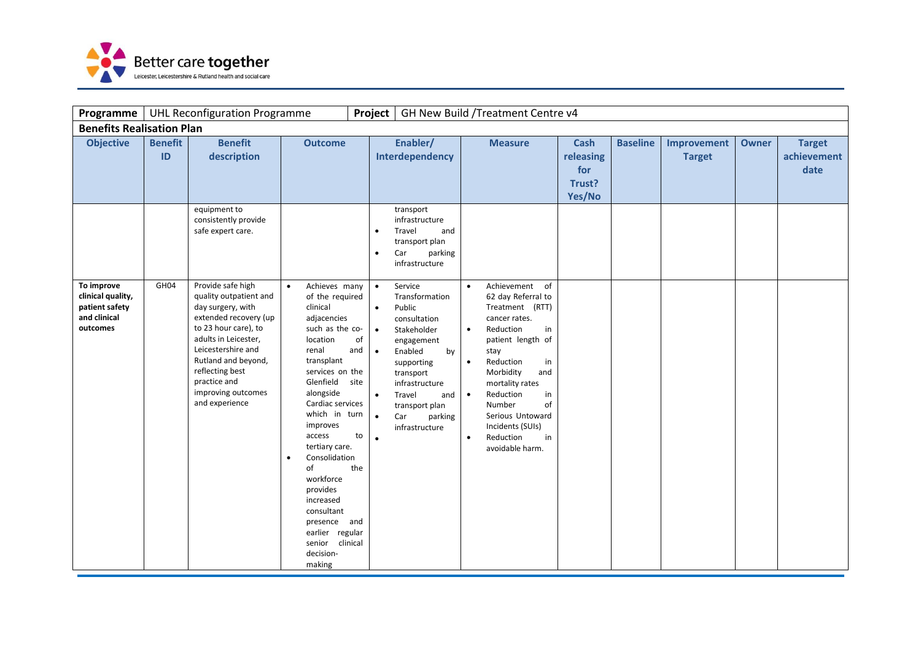

| Programme                                                                     |                      | <b>UHL Reconfiguration Programme</b>                                                                                                                                                                                                                              |                                                                                                                                                                                                                                                                                                                                                                                                                      | Project                                                                                                                               |                                                                                                                                                                                                                       |                                                               | GH New Build /Treatment Centre v4                                                                                                                                                                                                                                                                   |                                                     |                 |                              |       |                                      |
|-------------------------------------------------------------------------------|----------------------|-------------------------------------------------------------------------------------------------------------------------------------------------------------------------------------------------------------------------------------------------------------------|----------------------------------------------------------------------------------------------------------------------------------------------------------------------------------------------------------------------------------------------------------------------------------------------------------------------------------------------------------------------------------------------------------------------|---------------------------------------------------------------------------------------------------------------------------------------|-----------------------------------------------------------------------------------------------------------------------------------------------------------------------------------------------------------------------|---------------------------------------------------------------|-----------------------------------------------------------------------------------------------------------------------------------------------------------------------------------------------------------------------------------------------------------------------------------------------------|-----------------------------------------------------|-----------------|------------------------------|-------|--------------------------------------|
| <b>Benefits Realisation Plan</b>                                              |                      |                                                                                                                                                                                                                                                                   |                                                                                                                                                                                                                                                                                                                                                                                                                      |                                                                                                                                       |                                                                                                                                                                                                                       |                                                               |                                                                                                                                                                                                                                                                                                     |                                                     |                 |                              |       |                                      |
| <b>Objective</b>                                                              | <b>Benefit</b><br>ID | <b>Benefit</b><br>description<br>equipment to<br>consistently provide                                                                                                                                                                                             | <b>Outcome</b>                                                                                                                                                                                                                                                                                                                                                                                                       |                                                                                                                                       | Enabler/<br>Interdependency<br>transport<br>infrastructure                                                                                                                                                            |                                                               | <b>Measure</b>                                                                                                                                                                                                                                                                                      | <b>Cash</b><br>releasing<br>for<br>Trust?<br>Yes/No | <b>Baseline</b> | Improvement<br><b>Target</b> | Owner | <b>Target</b><br>achievement<br>date |
|                                                                               |                      | safe expert care.                                                                                                                                                                                                                                                 |                                                                                                                                                                                                                                                                                                                                                                                                                      | $\bullet$<br>$\bullet$                                                                                                                | Travel<br>and<br>transport plan<br>Car<br>parking<br>infrastructure                                                                                                                                                   |                                                               |                                                                                                                                                                                                                                                                                                     |                                                     |                 |                              |       |                                      |
| To improve<br>clinical quality,<br>patient safety<br>and clinical<br>outcomes | GH04                 | Provide safe high<br>quality outpatient and<br>day surgery, with<br>extended recovery (up<br>to 23 hour care), to<br>adults in Leicester,<br>Leicestershire and<br>Rutland and beyond,<br>reflecting best<br>practice and<br>improving outcomes<br>and experience | Achieves many<br>$\bullet$<br>of the required<br>clinical<br>adjacencies<br>such as the co-<br>location<br>renal<br>transplant<br>services on the<br>Glenfield<br>alongside<br>Cardiac services<br>which in turn<br>improves<br>access<br>tertiary care.<br>Consolidation<br>$\bullet$<br>of<br>workforce<br>provides<br>increased<br>consultant<br>presence and<br>earlier regular<br>senior<br>decision-<br>making | $\bullet$<br>$\bullet$<br>$\bullet$<br>of<br>and<br>$\bullet$<br>site<br>$\bullet$<br>$\bullet$<br>to<br>$\bullet$<br>the<br>clinical | Service<br>Transformation<br>Public<br>consultation<br>Stakeholder<br>engagement<br>Enabled<br>by<br>supporting<br>transport<br>infrastructure<br>Travel<br>and<br>transport plan<br>Car<br>parking<br>infrastructure | $\bullet$<br>$\bullet$<br>$\bullet$<br>$\bullet$<br>$\bullet$ | Achievement of<br>62 day Referral to<br>Treatment (RTT)<br>cancer rates.<br>Reduction<br>in<br>patient length of<br>stay<br>Reduction<br>in<br>Morbidity<br>and<br>mortality rates<br>Reduction<br>in<br>Number<br>of<br>Serious Untoward<br>Incidents (SUIs)<br>Reduction<br>in<br>avoidable harm. |                                                     |                 |                              |       |                                      |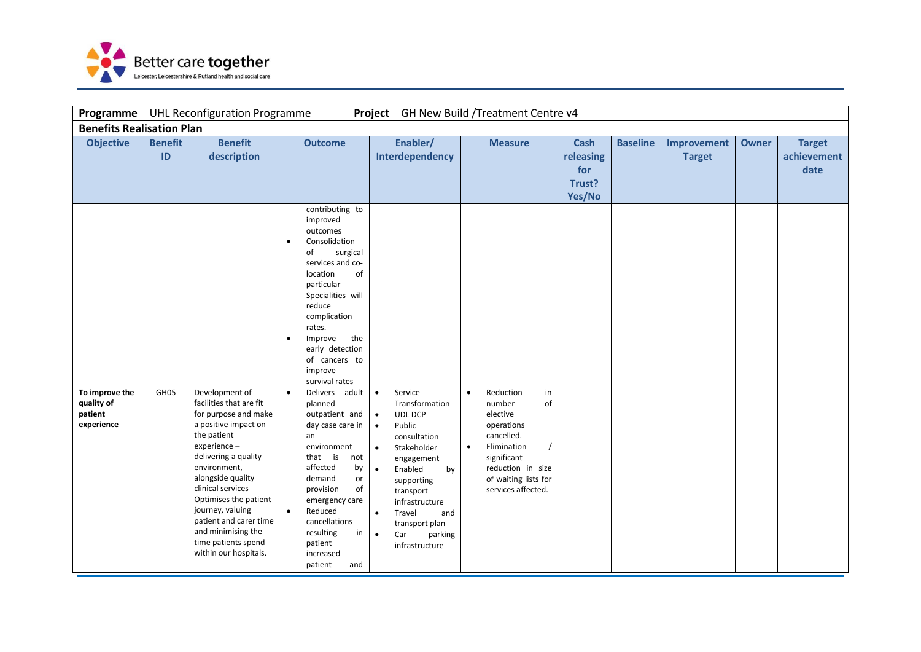

| Programme                                             |                      | <b>UHL Reconfiguration Programme</b>                                                                                                                                                                                                                                                                                                                    |                                                                                                                                                                                                                                                                | Project                                                                                                                       |                                                                                                                                                                                                                                  |                        | GH New Build / Treatment Centre v4                                                                                                                                       |                                                     |                 |                              |              |                                      |
|-------------------------------------------------------|----------------------|---------------------------------------------------------------------------------------------------------------------------------------------------------------------------------------------------------------------------------------------------------------------------------------------------------------------------------------------------------|----------------------------------------------------------------------------------------------------------------------------------------------------------------------------------------------------------------------------------------------------------------|-------------------------------------------------------------------------------------------------------------------------------|----------------------------------------------------------------------------------------------------------------------------------------------------------------------------------------------------------------------------------|------------------------|--------------------------------------------------------------------------------------------------------------------------------------------------------------------------|-----------------------------------------------------|-----------------|------------------------------|--------------|--------------------------------------|
| <b>Benefits Realisation Plan</b>                      |                      |                                                                                                                                                                                                                                                                                                                                                         |                                                                                                                                                                                                                                                                |                                                                                                                               |                                                                                                                                                                                                                                  |                        |                                                                                                                                                                          |                                                     |                 |                              |              |                                      |
| <b>Objective</b>                                      | <b>Benefit</b><br>ID | <b>Benefit</b><br>description                                                                                                                                                                                                                                                                                                                           | <b>Outcome</b>                                                                                                                                                                                                                                                 |                                                                                                                               | Enabler/<br>Interdependency                                                                                                                                                                                                      |                        | <b>Measure</b>                                                                                                                                                           | <b>Cash</b><br>releasing<br>for<br>Trust?<br>Yes/No | <b>Baseline</b> | Improvement<br><b>Target</b> | <b>Owner</b> | <b>Target</b><br>achievement<br>date |
|                                                       |                      |                                                                                                                                                                                                                                                                                                                                                         | contributing to<br>improved<br>outcomes<br>Consolidation<br>of<br>services and co-<br>location<br>particular<br>Specialities will<br>reduce<br>complication<br>rates.<br>Improve<br>$\bullet$<br>early detection<br>of cancers to<br>improve<br>survival rates | surgical<br>of<br>the                                                                                                         |                                                                                                                                                                                                                                  |                        |                                                                                                                                                                          |                                                     |                 |                              |              |                                      |
| To improve the<br>quality of<br>patient<br>experience | GH05                 | Development of<br>facilities that are fit<br>for purpose and make<br>a positive impact on<br>the patient<br>experience -<br>delivering a quality<br>environment,<br>alongside quality<br>clinical services<br>Optimises the patient<br>journey, valuing<br>patient and carer time<br>and minimising the<br>time patients spend<br>within our hospitals. | Delivers adult<br>$\bullet$<br>planned<br>outpatient and<br>day case care in<br>an<br>environment<br>that is<br>affected<br>demand<br>provision<br>emergency care<br>$\bullet$<br>Reduced<br>cancellations<br>resulting<br>patient<br>increased<br>patient     | $\bullet$<br>$\bullet$<br>$\bullet$<br>$\bullet$<br>not<br>by<br>$\bullet$<br>or<br>of<br>$\bullet$<br>in<br>$\bullet$<br>and | Service<br>Transformation<br>UDL DCP<br>Public<br>consultation<br>Stakeholder<br>engagement<br>Enabled<br>by<br>supporting<br>transport<br>infrastructure<br>Travel<br>and<br>transport plan<br>Car<br>parking<br>infrastructure | $\bullet$<br>$\bullet$ | Reduction<br>in<br>of<br>number<br>elective<br>operations<br>cancelled.<br>Elimination<br>significant<br>reduction in size<br>of waiting lists for<br>services affected. |                                                     |                 |                              |              |                                      |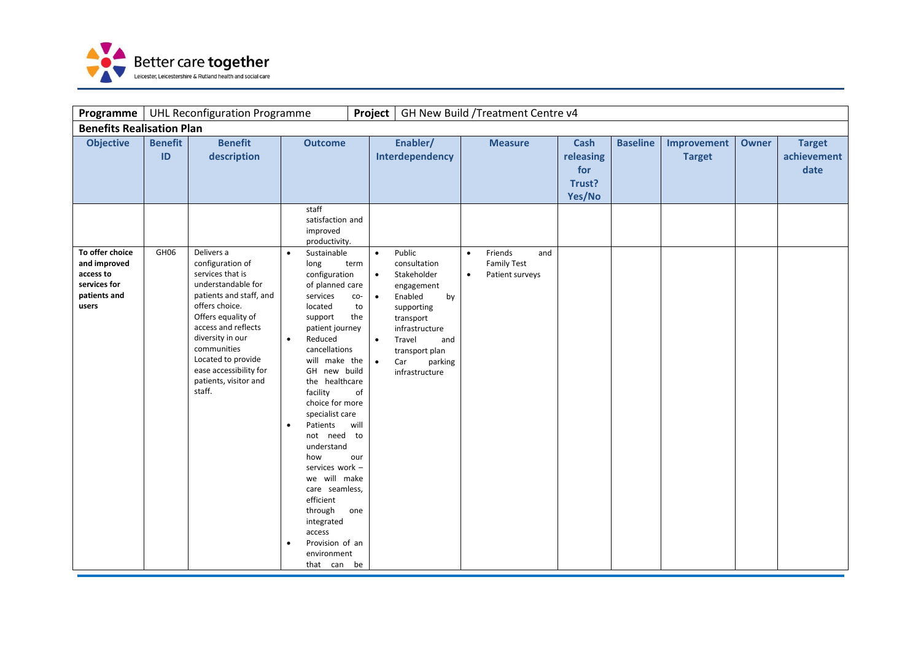

| <b>Programme</b>                                                                      |                      | <b>UHL Reconfiguration Programme</b>                                                                                                                                                                                                                                                     |                                                                                                                                                                                                                                                                                                                                                                                                                                                                                                                          | Project                                                                                                               |                                                                                                                                                                                          |                        | GH New Build / Treatment Centre v4                      |                                                     |                 |                              |              |                                      |
|---------------------------------------------------------------------------------------|----------------------|------------------------------------------------------------------------------------------------------------------------------------------------------------------------------------------------------------------------------------------------------------------------------------------|--------------------------------------------------------------------------------------------------------------------------------------------------------------------------------------------------------------------------------------------------------------------------------------------------------------------------------------------------------------------------------------------------------------------------------------------------------------------------------------------------------------------------|-----------------------------------------------------------------------------------------------------------------------|------------------------------------------------------------------------------------------------------------------------------------------------------------------------------------------|------------------------|---------------------------------------------------------|-----------------------------------------------------|-----------------|------------------------------|--------------|--------------------------------------|
| <b>Benefits Realisation Plan</b>                                                      |                      |                                                                                                                                                                                                                                                                                          |                                                                                                                                                                                                                                                                                                                                                                                                                                                                                                                          |                                                                                                                       |                                                                                                                                                                                          |                        |                                                         |                                                     |                 |                              |              |                                      |
| <b>Objective</b>                                                                      | <b>Benefit</b><br>ID | <b>Benefit</b><br>description                                                                                                                                                                                                                                                            | <b>Outcome</b><br>staff<br>satisfaction and<br>improved                                                                                                                                                                                                                                                                                                                                                                                                                                                                  |                                                                                                                       | Enabler/<br>Interdependency                                                                                                                                                              |                        | <b>Measure</b>                                          | <b>Cash</b><br>releasing<br>for<br>Trust?<br>Yes/No | <b>Baseline</b> | Improvement<br><b>Target</b> | <b>Owner</b> | <b>Target</b><br>achievement<br>date |
| To offer choice<br>and improved<br>access to<br>services for<br>patients and<br>users | GH <sub>06</sub>     | Delivers a<br>configuration of<br>services that is<br>understandable for<br>patients and staff, and<br>offers choice.<br>Offers equality of<br>access and reflects<br>diversity in our<br>communities<br>Located to provide<br>ease accessibility for<br>patients, visitor and<br>staff. | productivity.<br>Sustainable<br>$\bullet$<br>long<br>configuration<br>of planned care<br>services<br>located<br>support<br>patient journey<br>Reduced<br>$\bullet$<br>cancellations<br>will make the<br>GH new build<br>the healthcare<br>facility<br>choice for more<br>specialist care<br>Patients<br>$\bullet$<br>not need to<br>understand<br>how<br>services work -<br>we will make<br>care seamless,<br>efficient<br>through<br>integrated<br>access<br>Provision of an<br>$\bullet$<br>environment<br>that can be | $\bullet$<br>term<br>$\bullet$<br>co-<br>$\bullet$<br>to<br>the<br>$\bullet$<br>$\bullet$<br>of<br>will<br>our<br>one | Public<br>consultation<br>Stakeholder<br>engagement<br>Enabled<br>by<br>supporting<br>transport<br>infrastructure<br>Travel<br>and<br>transport plan<br>Car<br>parking<br>infrastructure | $\bullet$<br>$\bullet$ | Friends<br>and<br><b>Family Test</b><br>Patient surveys |                                                     |                 |                              |              |                                      |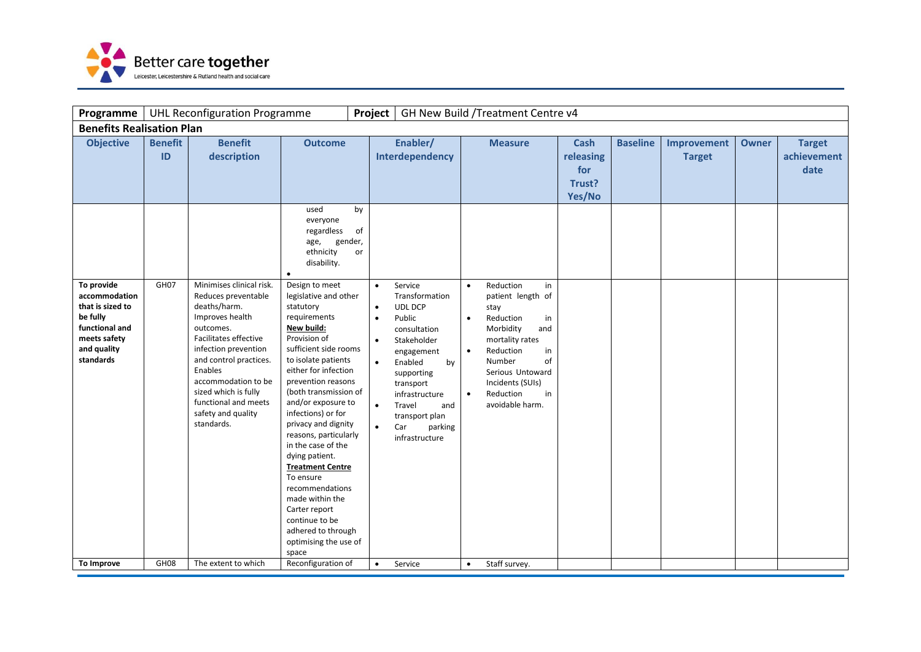

| Programme                                                                                                                                     |                                          | <b>UHL Reconfiguration Programme</b>                                                                                                                                                                                                                                                                                              |                                                                                                                                                                                                                                                                                                                                                                                                                          | Project                                                                                                   |                                                                                                                                                                                                                                                                        |                                                  | GH New Build / Treatment Centre v4                                                                                                                                                                                                        |                                                     |                 |                              |              |                                      |
|-----------------------------------------------------------------------------------------------------------------------------------------------|------------------------------------------|-----------------------------------------------------------------------------------------------------------------------------------------------------------------------------------------------------------------------------------------------------------------------------------------------------------------------------------|--------------------------------------------------------------------------------------------------------------------------------------------------------------------------------------------------------------------------------------------------------------------------------------------------------------------------------------------------------------------------------------------------------------------------|-----------------------------------------------------------------------------------------------------------|------------------------------------------------------------------------------------------------------------------------------------------------------------------------------------------------------------------------------------------------------------------------|--------------------------------------------------|-------------------------------------------------------------------------------------------------------------------------------------------------------------------------------------------------------------------------------------------|-----------------------------------------------------|-----------------|------------------------------|--------------|--------------------------------------|
| <b>Benefits Realisation Plan</b>                                                                                                              |                                          |                                                                                                                                                                                                                                                                                                                                   |                                                                                                                                                                                                                                                                                                                                                                                                                          |                                                                                                           |                                                                                                                                                                                                                                                                        |                                                  |                                                                                                                                                                                                                                           |                                                     |                 |                              |              |                                      |
| <b>Objective</b><br>To provide<br>accommodation<br>that is sized to<br>be fully<br>functional and<br>meets safety<br>and quality<br>standards | <b>Benefit</b><br>ID<br>GH <sub>07</sub> | <b>Benefit</b><br>description<br>Minimises clinical risk.<br>Reduces preventable<br>deaths/harm.<br>Improves health<br>outcomes.<br>Facilitates effective<br>infection prevention<br>and control practices.<br>Enables<br>accommodation to be<br>sized which is fully<br>functional and meets<br>safety and quality<br>standards. | <b>Outcome</b><br>used<br>everyone<br>regardless<br>gender,<br>age,<br>ethnicity<br>disability.<br>Design to meet<br>legislative and other<br>statutory<br>requirements<br>New build:<br>Provision of<br>sufficient side rooms<br>to isolate patients<br>either for infection<br>prevention reasons<br>(both transmission of<br>and/or exposure to<br>infections) or for<br>privacy and dignity<br>reasons, particularly | by<br>of<br>or<br>$\bullet$<br>$\bullet$<br>$\bullet$<br>$\bullet$<br>$\bullet$<br>$\bullet$<br>$\bullet$ | Enabler/<br>Interdependency<br>Service<br>Transformation<br><b>UDL DCP</b><br>Public<br>consultation<br>Stakeholder<br>engagement<br>Enabled<br>by<br>supporting<br>transport<br>infrastructure<br>Travel<br>and<br>transport plan<br>Car<br>parking<br>infrastructure | $\bullet$<br>$\bullet$<br>$\bullet$<br>$\bullet$ | <b>Measure</b><br>Reduction<br>in<br>patient length of<br>stay<br>Reduction<br>in<br>Morbidity<br>and<br>mortality rates<br>Reduction<br>in<br>Number<br>of<br>Serious Untoward<br>Incidents (SUIs)<br>Reduction<br>in<br>avoidable harm. | <b>Cash</b><br>releasing<br>for<br>Trust?<br>Yes/No | <b>Baseline</b> | Improvement<br><b>Target</b> | <b>Owner</b> | <b>Target</b><br>achievement<br>date |
| To Improve                                                                                                                                    | GH <sub>08</sub>                         | The extent to which                                                                                                                                                                                                                                                                                                               | in the case of the<br>dying patient.<br><b>Treatment Centre</b><br>To ensure<br>recommendations<br>made within the<br>Carter report<br>continue to be<br>adhered to through<br>optimising the use of<br>space<br>Reconfiguration of                                                                                                                                                                                      | $\bullet$                                                                                                 | Service                                                                                                                                                                                                                                                                | $\bullet$                                        | Staff survey.                                                                                                                                                                                                                             |                                                     |                 |                              |              |                                      |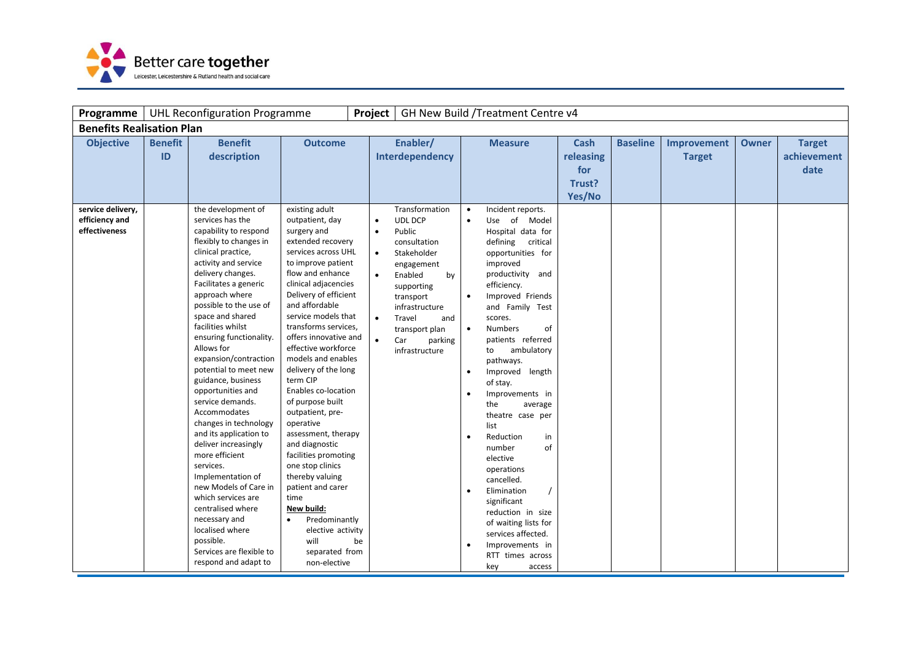

| Programme                             |                      | <b>UHL Reconfiguration Programme</b>                                                                                                                                                                                                                                                                                                                                                                                                                                                                                                                                                                                                                                                                                                   |                                                                                                                                                                                                                                                                                                                                                                                                                                                                                                                                                                                                                                                                 | Project                                                |                                                                                                                                                                                                            |                                                                                                      | GH New Build / Treatment Centre v4                                                                                                                                                                                                                                                                                                                                                                                                                                                                                                                                                                |                                                     |                 |                              |              |                                      |
|---------------------------------------|----------------------|----------------------------------------------------------------------------------------------------------------------------------------------------------------------------------------------------------------------------------------------------------------------------------------------------------------------------------------------------------------------------------------------------------------------------------------------------------------------------------------------------------------------------------------------------------------------------------------------------------------------------------------------------------------------------------------------------------------------------------------|-----------------------------------------------------------------------------------------------------------------------------------------------------------------------------------------------------------------------------------------------------------------------------------------------------------------------------------------------------------------------------------------------------------------------------------------------------------------------------------------------------------------------------------------------------------------------------------------------------------------------------------------------------------------|--------------------------------------------------------|------------------------------------------------------------------------------------------------------------------------------------------------------------------------------------------------------------|------------------------------------------------------------------------------------------------------|---------------------------------------------------------------------------------------------------------------------------------------------------------------------------------------------------------------------------------------------------------------------------------------------------------------------------------------------------------------------------------------------------------------------------------------------------------------------------------------------------------------------------------------------------------------------------------------------------|-----------------------------------------------------|-----------------|------------------------------|--------------|--------------------------------------|
| <b>Benefits Realisation Plan</b>      |                      |                                                                                                                                                                                                                                                                                                                                                                                                                                                                                                                                                                                                                                                                                                                                        |                                                                                                                                                                                                                                                                                                                                                                                                                                                                                                                                                                                                                                                                 |                                                        |                                                                                                                                                                                                            |                                                                                                      |                                                                                                                                                                                                                                                                                                                                                                                                                                                                                                                                                                                                   |                                                     |                 |                              |              |                                      |
| <b>Objective</b><br>service delivery, | <b>Benefit</b><br>ID | <b>Benefit</b><br>description<br>the development of                                                                                                                                                                                                                                                                                                                                                                                                                                                                                                                                                                                                                                                                                    | <b>Outcome</b><br>existing adult                                                                                                                                                                                                                                                                                                                                                                                                                                                                                                                                                                                                                                |                                                        | Enabler/<br>Interdependency<br>Transformation                                                                                                                                                              | $\bullet$                                                                                            | <b>Measure</b><br>Incident reports.                                                                                                                                                                                                                                                                                                                                                                                                                                                                                                                                                               | <b>Cash</b><br>releasing<br>for<br>Trust?<br>Yes/No | <b>Baseline</b> | Improvement<br><b>Target</b> | <b>Owner</b> | <b>Target</b><br>achievement<br>date |
| efficiency and<br>effectiveness       |                      | services has the<br>capability to respond<br>flexibly to changes in<br>clinical practice,<br>activity and service<br>delivery changes.<br>Facilitates a generic<br>approach where<br>possible to the use of<br>space and shared<br>facilities whilst<br>ensuring functionality.<br>Allows for<br>expansion/contraction<br>potential to meet new<br>guidance, business<br>opportunities and<br>service demands.<br>Accommodates<br>changes in technology<br>and its application to<br>deliver increasingly<br>more efficient<br>services.<br>Implementation of<br>new Models of Care in<br>which services are<br>centralised where<br>necessary and<br>localised where<br>possible.<br>Services are flexible to<br>respond and adapt to | outpatient, day<br>surgery and<br>extended recovery<br>services across UHL<br>to improve patient<br>flow and enhance<br>clinical adjacencies<br>Delivery of efficient<br>and affordable<br>service models that<br>transforms services,<br>offers innovative and<br>effective workforce<br>models and enables<br>delivery of the long<br>term CIP<br>Enables co-location<br>of purpose built<br>outpatient, pre-<br>operative<br>assessment, therapy<br>and diagnostic<br>facilities promoting<br>one stop clinics<br>thereby valuing<br>patient and carer<br>time<br>New build:<br>Predominantly<br>elective activity<br>will<br>separated from<br>non-elective | $\bullet$<br>$\bullet$<br>$\bullet$<br>$\bullet$<br>be | <b>UDL DCP</b><br>Public<br>consultation<br>Stakeholder<br>engagement<br>Enabled<br>by<br>supporting<br>transport<br>infrastructure<br>Travel<br>and<br>transport plan<br>Car<br>parking<br>infrastructure | $\bullet$<br>$\bullet$<br>$\bullet$<br>$\bullet$<br>$\bullet$<br>$\bullet$<br>$\bullet$<br>$\bullet$ | Use of Model<br>Hospital data for<br>defining<br>critical<br>opportunities for<br>improved<br>productivity and<br>efficiency.<br>Improved Friends<br>and Family Test<br>scores.<br><b>Numbers</b><br>of<br>patients referred<br>ambulatory<br>to<br>pathways.<br>Improved length<br>of stay.<br>Improvements in<br>the<br>average<br>theatre case per<br>list<br>Reduction<br>in<br>of<br>number<br>elective<br>operations<br>cancelled.<br>Elimination<br>significant<br>reduction in size<br>of waiting lists for<br>services affected.<br>Improvements in<br>RTT times across<br>key<br>access |                                                     |                 |                              |              |                                      |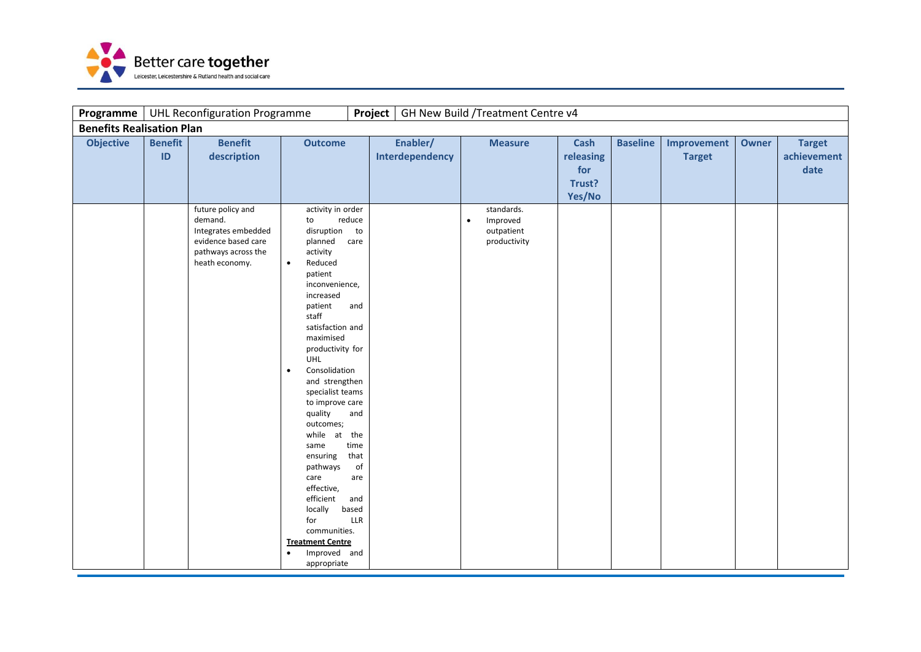

| Programme                        |                      | <b>UHL Reconfiguration Programme</b>                                                                                |                                                                                                                                                                                                                                                                                                                                                                                                                                                                                                              | <b>Project</b>                                                                         |                             |           | GH New Build / Treatment Centre v4                   |                                                     |                 |                              |              |                                      |
|----------------------------------|----------------------|---------------------------------------------------------------------------------------------------------------------|--------------------------------------------------------------------------------------------------------------------------------------------------------------------------------------------------------------------------------------------------------------------------------------------------------------------------------------------------------------------------------------------------------------------------------------------------------------------------------------------------------------|----------------------------------------------------------------------------------------|-----------------------------|-----------|------------------------------------------------------|-----------------------------------------------------|-----------------|------------------------------|--------------|--------------------------------------|
| <b>Benefits Realisation Plan</b> |                      |                                                                                                                     |                                                                                                                                                                                                                                                                                                                                                                                                                                                                                                              |                                                                                        |                             |           |                                                      |                                                     |                 |                              |              |                                      |
| <b>Objective</b>                 | <b>Benefit</b><br>ID | <b>Benefit</b><br>description                                                                                       | <b>Outcome</b>                                                                                                                                                                                                                                                                                                                                                                                                                                                                                               |                                                                                        | Enabler/<br>Interdependency |           | <b>Measure</b>                                       | <b>Cash</b><br>releasing<br>for<br>Trust?<br>Yes/No | <b>Baseline</b> | Improvement<br><b>Target</b> | <b>Owner</b> | <b>Target</b><br>achievement<br>date |
|                                  |                      | future policy and<br>demand.<br>Integrates embedded<br>evidence based care<br>pathways across the<br>heath economy. | activity in order<br>to<br>disruption<br>planned<br>activity<br>Reduced<br>$\bullet$<br>patient<br>inconvenience,<br>increased<br>patient<br>staff<br>satisfaction and<br>maximised<br>productivity for<br>UHL<br>Consolidation<br>$\bullet$<br>and strengthen<br>specialist teams<br>to improve care<br>quality<br>outcomes;<br>while at the<br>same<br>ensuring<br>pathways<br>care<br>effective,<br>efficient<br>locally<br>for<br>communities.<br><b>Treatment Centre</b><br>Improved and<br>appropriate | reduce<br>to<br>care<br>and<br>and<br>time<br>that<br>of<br>are<br>and<br>based<br>LLR |                             | $\bullet$ | standards.<br>Improved<br>outpatient<br>productivity |                                                     |                 |                              |              |                                      |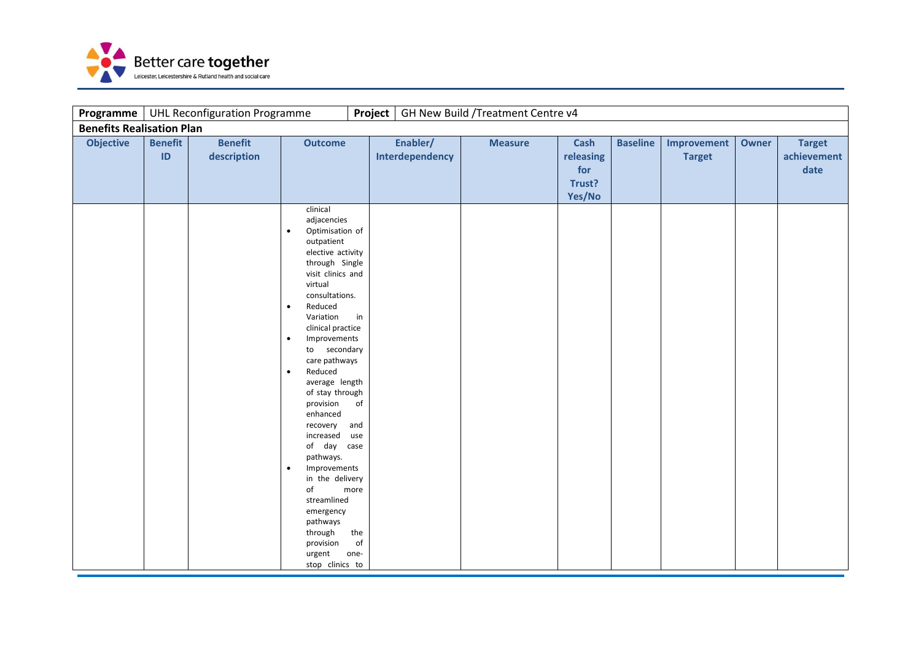

| Programme                        |                      | <b>UHL Reconfiguration Programme</b> |                                                                                                                                                                                                                                                                                                                                                                                                                                                                                                                                                                                      | Project                                             |                             | GH New Build / Treatment Centre v4 |                                                     |                 |                              |       |                                      |
|----------------------------------|----------------------|--------------------------------------|--------------------------------------------------------------------------------------------------------------------------------------------------------------------------------------------------------------------------------------------------------------------------------------------------------------------------------------------------------------------------------------------------------------------------------------------------------------------------------------------------------------------------------------------------------------------------------------|-----------------------------------------------------|-----------------------------|------------------------------------|-----------------------------------------------------|-----------------|------------------------------|-------|--------------------------------------|
| <b>Benefits Realisation Plan</b> |                      |                                      |                                                                                                                                                                                                                                                                                                                                                                                                                                                                                                                                                                                      |                                                     |                             |                                    |                                                     |                 |                              |       |                                      |
| <b>Objective</b>                 | <b>Benefit</b><br>ID | <b>Benefit</b><br>description        | <b>Outcome</b>                                                                                                                                                                                                                                                                                                                                                                                                                                                                                                                                                                       |                                                     | Enabler/<br>Interdependency | <b>Measure</b>                     | <b>Cash</b><br>releasing<br>for<br>Trust?<br>Yes/No | <b>Baseline</b> | Improvement<br><b>Target</b> | Owner | <b>Target</b><br>achievement<br>date |
|                                  |                      |                                      | clinical<br>adjacencies<br>Optimisation of<br>$\bullet$<br>outpatient<br>elective activity<br>through Single<br>visit clinics and<br>virtual<br>consultations.<br>Reduced<br>$\bullet$<br>Variation<br>clinical practice<br>Improvements<br>$\bullet$<br>to secondary<br>care pathways<br>Reduced<br>$\bullet$<br>average length<br>of stay through<br>provision<br>enhanced<br>recovery<br>increased<br>of day case<br>pathways.<br>Improvements<br>$\bullet$<br>in the delivery<br>of<br>streamlined<br>emergency<br>pathways<br>through<br>provision<br>urgent<br>stop clinics to | in<br>of<br>and<br>use<br>more<br>the<br>of<br>one- |                             |                                    |                                                     |                 |                              |       |                                      |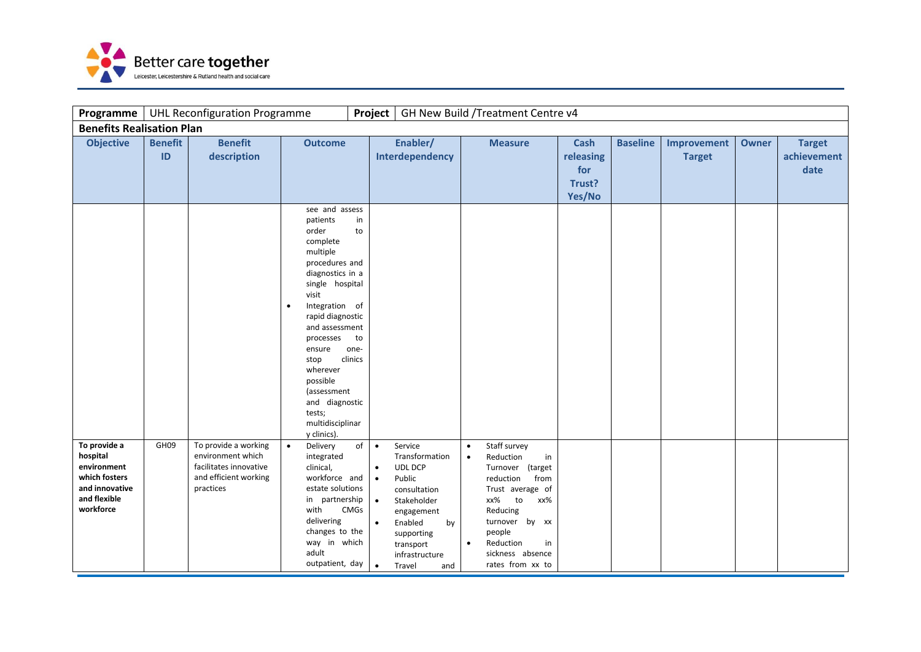

| Programme                                                                                               |                      | <b>UHL Reconfiguration Programme</b>                                                                      |                                                                                                                                                                                                                                                                                                                       | Project                                                                                         |                                                                                                                                                                            |                        | GH New Build / Treatment Centre v4                                                                                                                                                                                  |                                                     |                 |                              |       |                                      |
|---------------------------------------------------------------------------------------------------------|----------------------|-----------------------------------------------------------------------------------------------------------|-----------------------------------------------------------------------------------------------------------------------------------------------------------------------------------------------------------------------------------------------------------------------------------------------------------------------|-------------------------------------------------------------------------------------------------|----------------------------------------------------------------------------------------------------------------------------------------------------------------------------|------------------------|---------------------------------------------------------------------------------------------------------------------------------------------------------------------------------------------------------------------|-----------------------------------------------------|-----------------|------------------------------|-------|--------------------------------------|
| <b>Benefits Realisation Plan</b>                                                                        |                      |                                                                                                           |                                                                                                                                                                                                                                                                                                                       |                                                                                                 |                                                                                                                                                                            |                        |                                                                                                                                                                                                                     |                                                     |                 |                              |       |                                      |
| <b>Objective</b>                                                                                        | <b>Benefit</b><br>ID | <b>Benefit</b><br>description                                                                             | <b>Outcome</b><br>see and assess                                                                                                                                                                                                                                                                                      |                                                                                                 | Enabler/<br>Interdependency                                                                                                                                                |                        | <b>Measure</b>                                                                                                                                                                                                      | <b>Cash</b><br>releasing<br>for<br>Trust?<br>Yes/No | <b>Baseline</b> | Improvement<br><b>Target</b> | Owner | <b>Target</b><br>achievement<br>date |
|                                                                                                         |                      |                                                                                                           | patients<br>order<br>complete<br>multiple<br>procedures and<br>diagnostics in a<br>single hospital<br>visit<br>Integration of<br>$\bullet$<br>rapid diagnostic<br>and assessment<br>processes<br>ensure<br>stop<br>wherever<br>possible<br>(assessment<br>and diagnostic<br>tests;<br>multidisciplinar<br>y clinics). | in<br>to<br>to<br>one-<br>clinics                                                               |                                                                                                                                                                            |                        |                                                                                                                                                                                                                     |                                                     |                 |                              |       |                                      |
| To provide a<br>hospital<br>environment<br>which fosters<br>and innovative<br>and flexible<br>workforce | GH <sub>09</sub>     | To provide a working<br>environment which<br>facilitates innovative<br>and efficient working<br>practices | Delivery<br>$\bullet$<br>integrated<br>clinical,<br>workforce and<br>estate solutions<br>in partnership<br>with<br>delivering<br>changes to the<br>way in which<br>adult<br>outpatient, day                                                                                                                           | of<br>$\bullet$<br>$\bullet$<br>$\bullet$<br>$\bullet$<br><b>CMGs</b><br>$\bullet$<br>$\bullet$ | Service<br>Transformation<br>UDL DCP<br>Public<br>consultation<br>Stakeholder<br>engagement<br>Enabled<br>by<br>supporting<br>transport<br>infrastructure<br>Travel<br>and | $\bullet$<br>$\bullet$ | Staff survey<br>Reduction<br>in<br>Turnover (target<br>from<br>reduction<br>Trust average of<br>to<br>xx%<br>xx%<br>Reducing<br>turnover by xx<br>people<br>Reduction<br>in<br>sickness absence<br>rates from xx to |                                                     |                 |                              |       |                                      |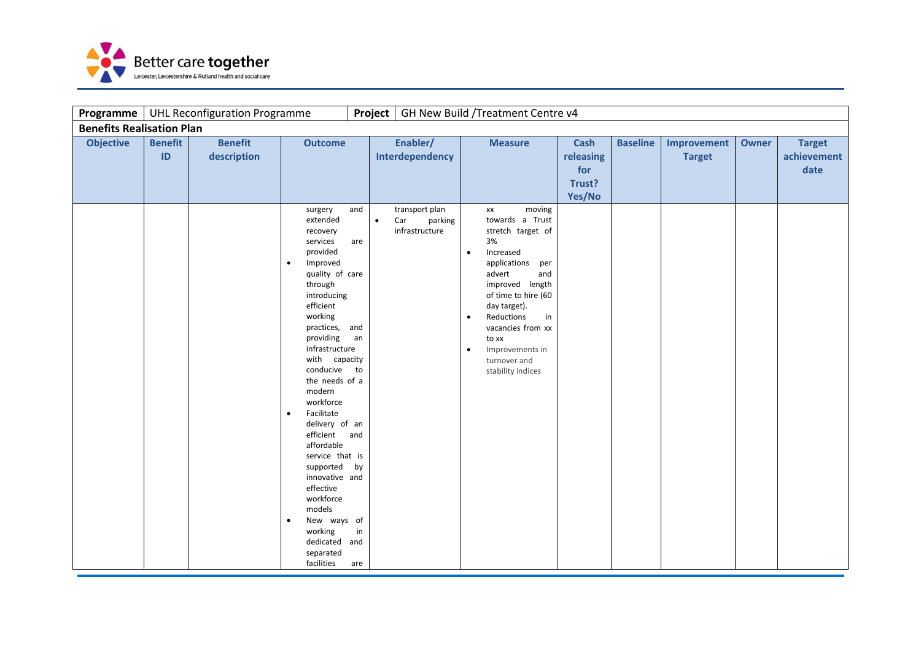

| Programme                        |                      | <b>UHL Reconfiguration Programme</b> |                                                                                                                                                                                                                                                                                                                                                                                                                                                                                                                                |                                                  | Project                                                         |                                     | GH New Build / Treatment Centre v4                                                                                                                                                                                                                                                  |                                                     |                 |                              |              |                                      |
|----------------------------------|----------------------|--------------------------------------|--------------------------------------------------------------------------------------------------------------------------------------------------------------------------------------------------------------------------------------------------------------------------------------------------------------------------------------------------------------------------------------------------------------------------------------------------------------------------------------------------------------------------------|--------------------------------------------------|-----------------------------------------------------------------|-------------------------------------|-------------------------------------------------------------------------------------------------------------------------------------------------------------------------------------------------------------------------------------------------------------------------------------|-----------------------------------------------------|-----------------|------------------------------|--------------|--------------------------------------|
| <b>Benefits Realisation Plan</b> |                      |                                      |                                                                                                                                                                                                                                                                                                                                                                                                                                                                                                                                |                                                  |                                                                 |                                     |                                                                                                                                                                                                                                                                                     |                                                     |                 |                              |              |                                      |
| <b>Objective</b>                 | <b>Benefit</b><br>ID | <b>Benefit</b><br>description        | <b>Outcome</b>                                                                                                                                                                                                                                                                                                                                                                                                                                                                                                                 |                                                  | Enabler/<br>Interdependency                                     |                                     | <b>Measure</b>                                                                                                                                                                                                                                                                      | <b>Cash</b><br>releasing<br>for<br>Trust?<br>Yes/No | <b>Baseline</b> | Improvement<br><b>Target</b> | <b>Owner</b> | <b>Target</b><br>achievement<br>date |
|                                  |                      |                                      | surgery<br>extended<br>recovery<br>services<br>provided<br>Improved<br>$\bullet$<br>quality of care<br>through<br>introducing<br>efficient<br>working<br>practices, and<br>providing<br>infrastructure<br>with capacity<br>conducive<br>the needs of a<br>modern<br>workforce<br>Facilitate<br>$\bullet$<br>delivery of an<br>efficient<br>affordable<br>service that is<br>supported<br>innovative and<br>effective<br>workforce<br>models<br>New ways of<br>$\bullet$<br>working<br>dedicated and<br>separated<br>facilities | and<br>are<br>an<br>to<br>and<br>by<br>in<br>are | transport plan<br>Car<br>$\bullet$<br>parking<br>infrastructure | $\bullet$<br>$\bullet$<br>$\bullet$ | moving<br>XX<br>towards a Trust<br>stretch target of<br>3%<br>Increased<br>applications<br>per<br>advert<br>and<br>improved length<br>of time to hire (60<br>day target).<br>Reductions<br>in<br>vacancies from xx<br>to xx<br>Improvements in<br>turnover and<br>stability indices |                                                     |                 |                              |              |                                      |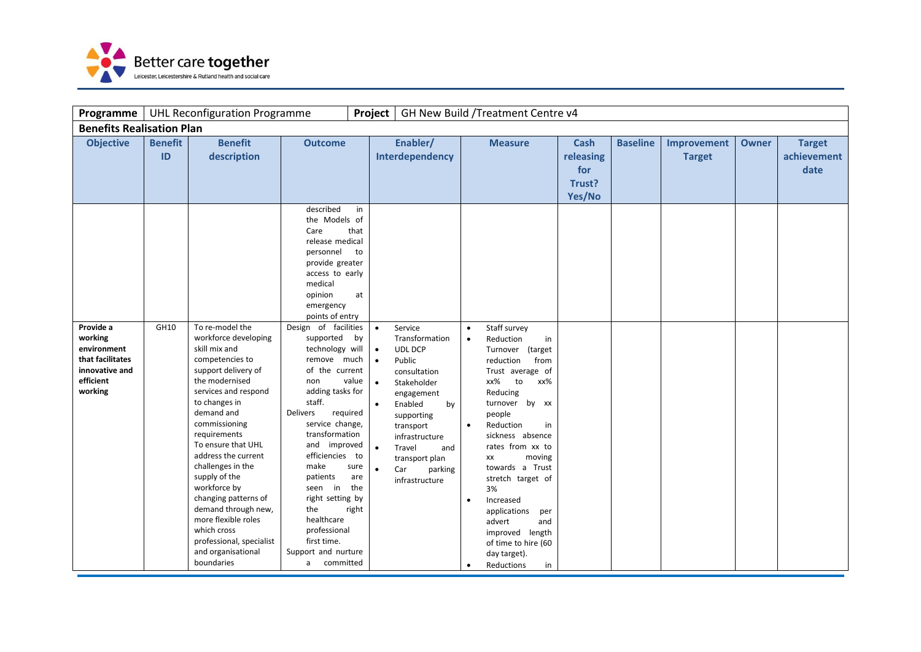

| Programme                                                                                         |                      | <b>UHL Reconfiguration Programme</b>                                                                                                                                                                                                                                                                                                                                                                                                                                 |                                                                                                                                                                                                                                                                                                                                                                                                                                                                                                                                     | Project                                                                                                                                                   |                                                                                                                                                                                                                                  |                                                  | GH New Build /Treatment Centre v4                                                                                                                                                                                                                                                                                                                                                                                    |                                                     |                 |                              |              |                                      |
|---------------------------------------------------------------------------------------------------|----------------------|----------------------------------------------------------------------------------------------------------------------------------------------------------------------------------------------------------------------------------------------------------------------------------------------------------------------------------------------------------------------------------------------------------------------------------------------------------------------|-------------------------------------------------------------------------------------------------------------------------------------------------------------------------------------------------------------------------------------------------------------------------------------------------------------------------------------------------------------------------------------------------------------------------------------------------------------------------------------------------------------------------------------|-----------------------------------------------------------------------------------------------------------------------------------------------------------|----------------------------------------------------------------------------------------------------------------------------------------------------------------------------------------------------------------------------------|--------------------------------------------------|----------------------------------------------------------------------------------------------------------------------------------------------------------------------------------------------------------------------------------------------------------------------------------------------------------------------------------------------------------------------------------------------------------------------|-----------------------------------------------------|-----------------|------------------------------|--------------|--------------------------------------|
| <b>Benefits Realisation Plan</b>                                                                  |                      |                                                                                                                                                                                                                                                                                                                                                                                                                                                                      |                                                                                                                                                                                                                                                                                                                                                                                                                                                                                                                                     |                                                                                                                                                           |                                                                                                                                                                                                                                  |                                                  |                                                                                                                                                                                                                                                                                                                                                                                                                      |                                                     |                 |                              |              |                                      |
| <b>Objective</b>                                                                                  | <b>Benefit</b><br>ID | <b>Benefit</b><br>description                                                                                                                                                                                                                                                                                                                                                                                                                                        | <b>Outcome</b><br>described                                                                                                                                                                                                                                                                                                                                                                                                                                                                                                         | in                                                                                                                                                        | Enabler/<br>Interdependency                                                                                                                                                                                                      |                                                  | <b>Measure</b>                                                                                                                                                                                                                                                                                                                                                                                                       | <b>Cash</b><br>releasing<br>for<br>Trust?<br>Yes/No | <b>Baseline</b> | Improvement<br><b>Target</b> | <b>Owner</b> | <b>Target</b><br>achievement<br>date |
| Provide a<br>working<br>environment<br>that facilitates<br>innovative and<br>efficient<br>working | GH10                 | To re-model the<br>workforce developing<br>skill mix and<br>competencies to<br>support delivery of<br>the modernised<br>services and respond<br>to changes in<br>demand and<br>commissioning<br>requirements<br>To ensure that UHL<br>address the current<br>challenges in the<br>supply of the<br>workforce by<br>changing patterns of<br>demand through new,<br>more flexible roles<br>which cross<br>professional, specialist<br>and organisational<br>boundaries | the Models of<br>Care<br>release medical<br>personnel<br>provide greater<br>access to early<br>medical<br>opinion<br>emergency<br>points of entry<br>Design of facilities<br>supported<br>technology will<br>remove much<br>of the current<br>non<br>adding tasks for<br>staff.<br><b>Delivers</b><br>required<br>service change,<br>transformation<br>and improved<br>efficiencies to<br>make<br>patients<br>seen in<br>right setting by<br>the<br>healthcare<br>professional<br>first time.<br>Support and nurture<br>a committed | that<br>to<br>at<br>$\bullet$<br>by<br>$\bullet$<br>$\bullet$<br>value<br>$\bullet$<br>$\bullet$<br>$\bullet$<br>sure<br>$\bullet$<br>are<br>the<br>right | Service<br>Transformation<br>UDL DCP<br>Public<br>consultation<br>Stakeholder<br>engagement<br>Enabled<br>by<br>supporting<br>transport<br>infrastructure<br>Travel<br>and<br>transport plan<br>Car<br>parking<br>infrastructure | $\bullet$<br>$\bullet$<br>$\bullet$<br>$\bullet$ | Staff survey<br>Reduction<br>in<br>Turnover (target<br>reduction<br>from<br>Trust average of<br>xx%<br>xx%<br>to<br>Reducing<br>turnover by xx<br>people<br>Reduction<br>in<br>sickness absence<br>rates from xx to<br>moving<br>XX<br>towards a Trust<br>stretch target of<br>3%<br>Increased<br>applications<br>per<br>advert<br>and<br>improved length<br>of time to hire (60<br>day target).<br>Reductions<br>in |                                                     |                 |                              |              |                                      |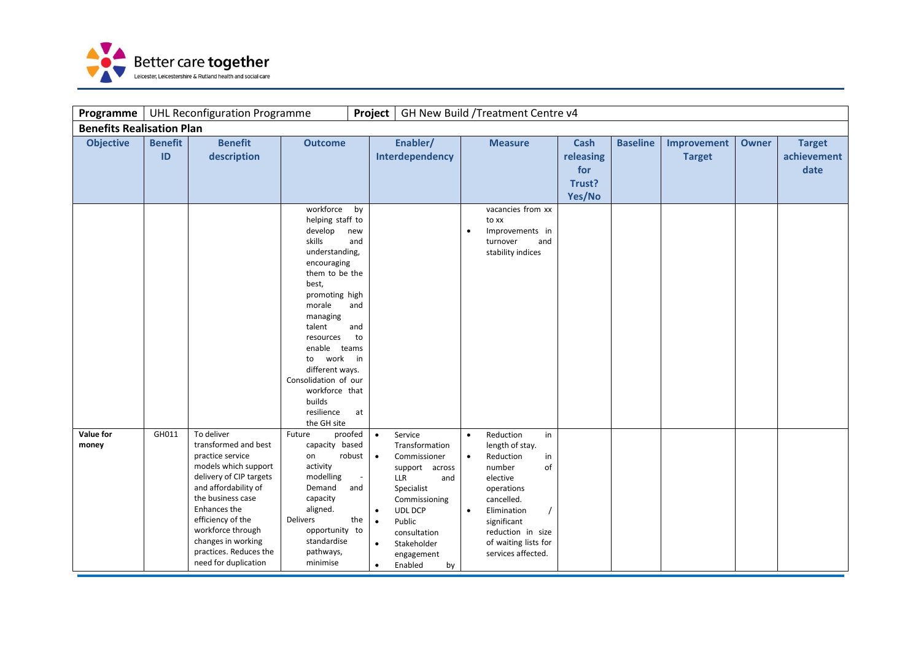

| Programme                        |                      | <b>UHL Reconfiguration Programme</b>                                                                                                                                                                                                                                                     |                                                                                                                                                                                                                                                                                                              | Project                                                                                                 |                                                                                                                                                                                                    |                                     | GH New Build / Treatment Centre v4                                                                                                                                                                             |                                                     |                 |                              |              |                                      |
|----------------------------------|----------------------|------------------------------------------------------------------------------------------------------------------------------------------------------------------------------------------------------------------------------------------------------------------------------------------|--------------------------------------------------------------------------------------------------------------------------------------------------------------------------------------------------------------------------------------------------------------------------------------------------------------|---------------------------------------------------------------------------------------------------------|----------------------------------------------------------------------------------------------------------------------------------------------------------------------------------------------------|-------------------------------------|----------------------------------------------------------------------------------------------------------------------------------------------------------------------------------------------------------------|-----------------------------------------------------|-----------------|------------------------------|--------------|--------------------------------------|
| <b>Benefits Realisation Plan</b> |                      |                                                                                                                                                                                                                                                                                          |                                                                                                                                                                                                                                                                                                              |                                                                                                         |                                                                                                                                                                                                    |                                     |                                                                                                                                                                                                                |                                                     |                 |                              |              |                                      |
| <b>Objective</b>                 | <b>Benefit</b><br>ID | <b>Benefit</b><br>description                                                                                                                                                                                                                                                            | <b>Outcome</b>                                                                                                                                                                                                                                                                                               |                                                                                                         | Enabler/<br>Interdependency                                                                                                                                                                        |                                     | <b>Measure</b>                                                                                                                                                                                                 | <b>Cash</b><br>releasing<br>for<br>Trust?<br>Yes/No | <b>Baseline</b> | Improvement<br><b>Target</b> | <b>Owner</b> | <b>Target</b><br>achievement<br>date |
|                                  |                      |                                                                                                                                                                                                                                                                                          | workforce<br>helping staff to<br>develop<br>skills<br>understanding,<br>encouraging<br>them to be the<br>best,<br>promoting high<br>morale<br>managing<br>talent<br>resources<br>enable teams<br>to work<br>different ways.<br>Consolidation of our<br>workforce that<br>builds<br>resilience<br>the GH site | by<br>new<br>and<br>and<br>and<br>to<br>$\mathsf{in}$<br>at                                             |                                                                                                                                                                                                    | $\bullet$                           | vacancies from xx<br>to xx<br>Improvements in<br>turnover<br>and<br>stability indices                                                                                                                          |                                                     |                 |                              |              |                                      |
| Value for<br>money               | GH011                | To deliver<br>transformed and best<br>practice service<br>models which support<br>delivery of CIP targets<br>and affordability of<br>the business case<br>Enhances the<br>efficiency of the<br>workforce through<br>changes in working<br>practices. Reduces the<br>need for duplication | Future<br>proofed<br>capacity based<br>robust<br>on<br>activity<br>modelling<br>Demand<br>capacity<br>aligned.<br>Delivers<br>opportunity to<br>standardise<br>pathways,<br>minimise                                                                                                                         | $\bullet$<br>$\bullet$<br>$\overline{\phantom{a}}$<br>and<br>$\bullet$<br>the<br>$\bullet$<br>$\bullet$ | Service<br>Transformation<br>Commissioner<br>support across<br>LLR<br>and<br>Specialist<br>Commissioning<br><b>UDL DCP</b><br>Public<br>consultation<br>Stakeholder<br>engagement<br>Enabled<br>by | $\bullet$<br>$\bullet$<br>$\bullet$ | Reduction<br>in<br>length of stay.<br>Reduction<br>in<br>of<br>number<br>elective<br>operations<br>cancelled.<br>Elimination<br>significant<br>reduction in size<br>of waiting lists for<br>services affected. |                                                     |                 |                              |              |                                      |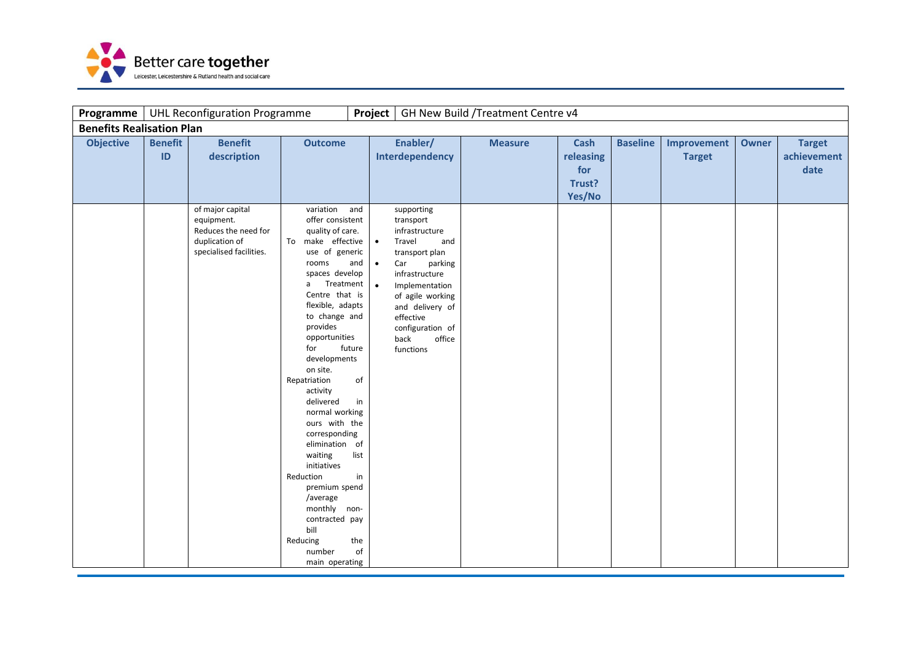

| Programme                        |                      | <b>UHL Reconfiguration Programme</b>                                                                |                                                                                                                                                                                                                                                                                                                                                                                                                                                                                                                                      | Project                                                                                            |                                                                                                                                                                                                                                           | GH New Build / Treatment Centre v4 |                                                     |                 |                              |              |                                      |
|----------------------------------|----------------------|-----------------------------------------------------------------------------------------------------|--------------------------------------------------------------------------------------------------------------------------------------------------------------------------------------------------------------------------------------------------------------------------------------------------------------------------------------------------------------------------------------------------------------------------------------------------------------------------------------------------------------------------------------|----------------------------------------------------------------------------------------------------|-------------------------------------------------------------------------------------------------------------------------------------------------------------------------------------------------------------------------------------------|------------------------------------|-----------------------------------------------------|-----------------|------------------------------|--------------|--------------------------------------|
| <b>Benefits Realisation Plan</b> |                      |                                                                                                     |                                                                                                                                                                                                                                                                                                                                                                                                                                                                                                                                      |                                                                                                    |                                                                                                                                                                                                                                           |                                    |                                                     |                 |                              |              |                                      |
| <b>Objective</b>                 | <b>Benefit</b><br>ID | <b>Benefit</b><br>description                                                                       | <b>Outcome</b>                                                                                                                                                                                                                                                                                                                                                                                                                                                                                                                       |                                                                                                    | Enabler/<br>Interdependency                                                                                                                                                                                                               | <b>Measure</b>                     | <b>Cash</b><br>releasing<br>for<br>Trust?<br>Yes/No | <b>Baseline</b> | Improvement<br><b>Target</b> | <b>Owner</b> | <b>Target</b><br>achievement<br>date |
|                                  |                      | of major capital<br>equipment.<br>Reduces the need for<br>duplication of<br>specialised facilities. | variation<br>offer consistent<br>quality of care.<br>make effective<br>To<br>use of generic<br>rooms<br>spaces develop<br>Treatment<br>a<br>Centre that is<br>flexible, adapts<br>to change and<br>provides<br>opportunities<br>for<br>developments<br>on site.<br>Repatriation<br>activity<br>delivered<br>normal working<br>ours with the<br>corresponding<br>elimination of<br>waiting<br>initiatives<br>Reduction<br>premium spend<br>/average<br>monthly non-<br>contracted pay<br>bill<br>Reducing<br>number<br>main operating | and<br>$\bullet$<br>and<br>$\bullet$<br>$\bullet$<br>future<br>of<br>in<br>list<br>in<br>the<br>of | supporting<br>transport<br>infrastructure<br>Travel<br>and<br>transport plan<br>parking<br>Car<br>infrastructure<br>Implementation<br>of agile working<br>and delivery of<br>effective<br>configuration of<br>back<br>office<br>functions |                                    |                                                     |                 |                              |              |                                      |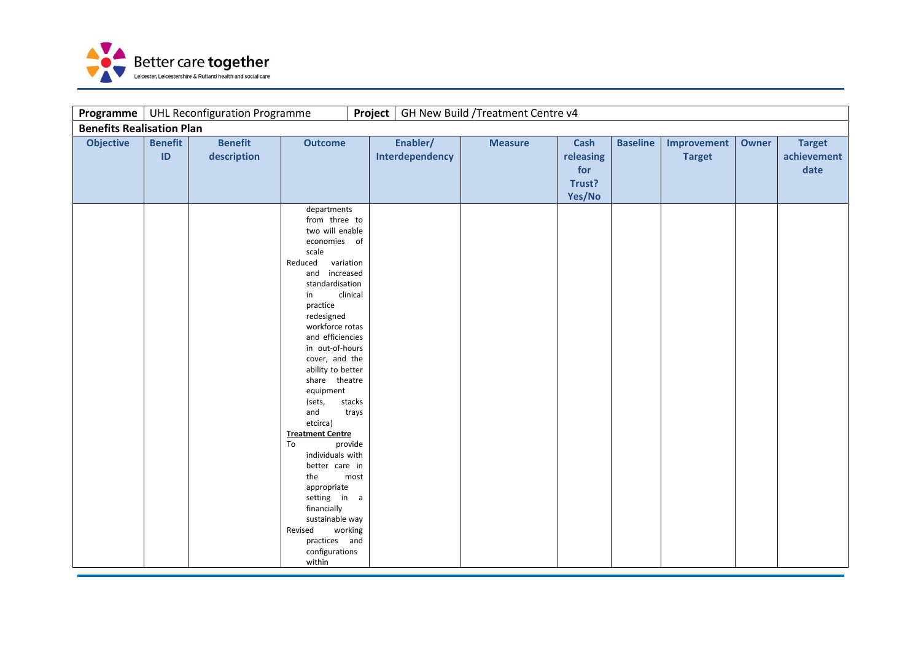

| Programme                        |                      | <b>UHL Reconfiguration Programme</b> |                                                                                                                                                                                                                                                                                                                                                                                                                                                                                                                                                                                                      | Project |                             | GH New Build / Treatment Centre v4 |                                                     |                 |                              |       |                                      |
|----------------------------------|----------------------|--------------------------------------|------------------------------------------------------------------------------------------------------------------------------------------------------------------------------------------------------------------------------------------------------------------------------------------------------------------------------------------------------------------------------------------------------------------------------------------------------------------------------------------------------------------------------------------------------------------------------------------------------|---------|-----------------------------|------------------------------------|-----------------------------------------------------|-----------------|------------------------------|-------|--------------------------------------|
| <b>Benefits Realisation Plan</b> |                      |                                      |                                                                                                                                                                                                                                                                                                                                                                                                                                                                                                                                                                                                      |         |                             |                                    |                                                     |                 |                              |       |                                      |
| <b>Objective</b>                 | <b>Benefit</b><br>ID | <b>Benefit</b><br>description        | <b>Outcome</b>                                                                                                                                                                                                                                                                                                                                                                                                                                                                                                                                                                                       |         | Enabler/<br>Interdependency | <b>Measure</b>                     | <b>Cash</b><br>releasing<br>for<br>Trust?<br>Yes/No | <b>Baseline</b> | Improvement<br><b>Target</b> | Owner | <b>Target</b><br>achievement<br>date |
|                                  |                      |                                      | departments<br>from three to<br>two will enable<br>economies of<br>scale<br>Reduced<br>variation<br>and increased<br>standardisation<br>clinical<br>in<br>practice<br>redesigned<br>workforce rotas<br>and efficiencies<br>in out-of-hours<br>cover, and the<br>ability to better<br>share theatre<br>equipment<br>stacks<br>(sets,<br>and<br>trays<br>etcirca)<br><b>Treatment Centre</b><br>To<br>provide<br>individuals with<br>better care in<br>the<br>most<br>appropriate<br>setting in a<br>financially<br>sustainable way<br>working<br>Revised<br>practices and<br>configurations<br>within |         |                             |                                    |                                                     |                 |                              |       |                                      |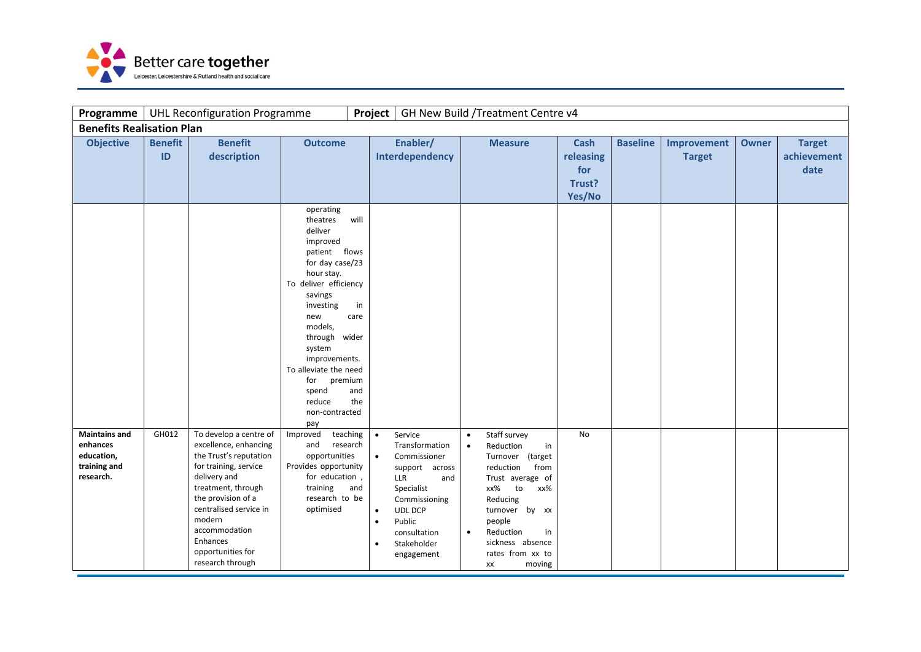

| Programme                                                                   | Project<br>GH New Build / Treatment Centre v4<br><b>UHL Reconfiguration Programme</b> |                                                                                                                                                                                                                                                                          |                                                                                                                                                                                                                                                                                                                                          |                                                               |                                                                                                                                                                                   |                                     |                                                                                                                                                                                                                                     |                                                     |                 |                              |              |                                      |
|-----------------------------------------------------------------------------|---------------------------------------------------------------------------------------|--------------------------------------------------------------------------------------------------------------------------------------------------------------------------------------------------------------------------------------------------------------------------|------------------------------------------------------------------------------------------------------------------------------------------------------------------------------------------------------------------------------------------------------------------------------------------------------------------------------------------|---------------------------------------------------------------|-----------------------------------------------------------------------------------------------------------------------------------------------------------------------------------|-------------------------------------|-------------------------------------------------------------------------------------------------------------------------------------------------------------------------------------------------------------------------------------|-----------------------------------------------------|-----------------|------------------------------|--------------|--------------------------------------|
|                                                                             | <b>Benefits Realisation Plan</b>                                                      |                                                                                                                                                                                                                                                                          |                                                                                                                                                                                                                                                                                                                                          |                                                               |                                                                                                                                                                                   |                                     |                                                                                                                                                                                                                                     |                                                     |                 |                              |              |                                      |
| <b>Objective</b>                                                            | <b>Benefit</b><br>ID                                                                  | <b>Benefit</b><br>description                                                                                                                                                                                                                                            | <b>Outcome</b>                                                                                                                                                                                                                                                                                                                           |                                                               | Enabler/<br>Interdependency                                                                                                                                                       |                                     | <b>Measure</b>                                                                                                                                                                                                                      | <b>Cash</b><br>releasing<br>for<br>Trust?<br>Yes/No | <b>Baseline</b> | Improvement<br><b>Target</b> | <b>Owner</b> | <b>Target</b><br>achievement<br>date |
|                                                                             |                                                                                       |                                                                                                                                                                                                                                                                          | operating<br>theatres<br>will<br>deliver<br>improved<br>patient flows<br>for day case/23<br>hour stay.<br>To deliver efficiency<br>savings<br>investing<br>in<br>new<br>care<br>models,<br>through wider<br>system<br>improvements.<br>To alleviate the need<br>for<br>premium<br>spend<br>and<br>reduce<br>the<br>non-contracted<br>pay |                                                               |                                                                                                                                                                                   |                                     |                                                                                                                                                                                                                                     |                                                     |                 |                              |              |                                      |
| <b>Maintains and</b><br>enhances<br>education,<br>training and<br>research. | GH012                                                                                 | To develop a centre of<br>excellence, enhancing<br>the Trust's reputation<br>for training, service<br>delivery and<br>treatment, through<br>the provision of a<br>centralised service in<br>modern<br>accommodation<br>Enhances<br>opportunities for<br>research through | Improved<br>teaching<br>and<br>research<br>opportunities<br>Provides opportunity<br>for education,<br>training<br>and<br>research to be<br>optimised                                                                                                                                                                                     | $\bullet$<br>$\bullet$<br>$\bullet$<br>$\bullet$<br>$\bullet$ | Service<br>Transformation<br>Commissioner<br>support across<br>LLR<br>and<br>Specialist<br>Commissioning<br><b>UDL DCP</b><br>Public<br>consultation<br>Stakeholder<br>engagement | $\bullet$<br>$\bullet$<br>$\bullet$ | Staff survey<br>Reduction<br>in<br>Turnover (target<br>reduction<br>from<br>Trust average of<br>xx%<br>to<br>xx%<br>Reducing<br>turnover by xx<br>people<br>Reduction<br>in<br>sickness absence<br>rates from xx to<br>moving<br>XX | <b>No</b>                                           |                 |                              |              |                                      |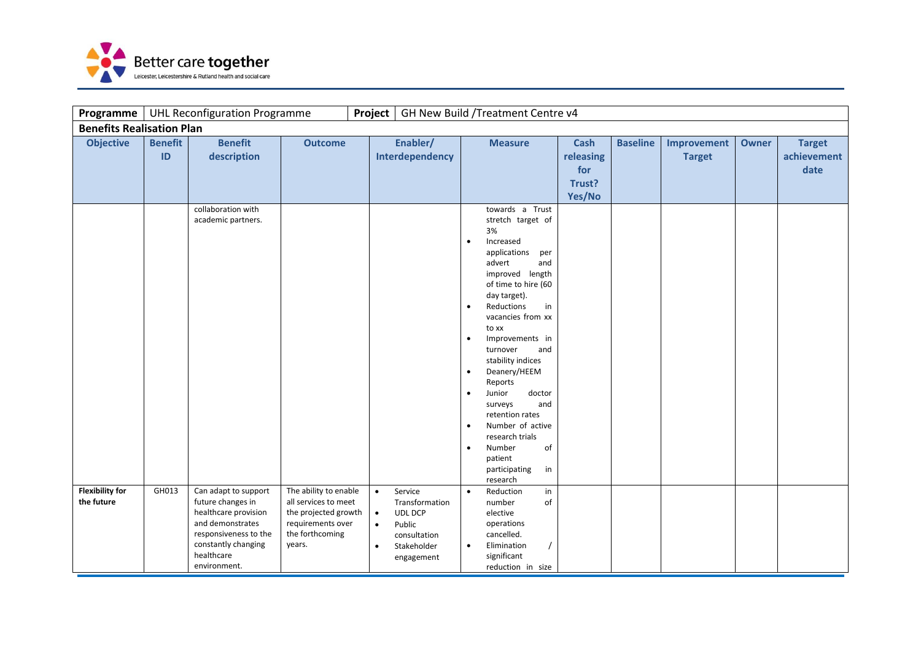

| Programme                            |                      | <b>UHL Reconfiguration Programme</b>                                                                                                                                |                                                                                                                         | Project                                          |                                                                                                    |                                                                                         | GH New Build / Treatment Centre v4                                                                                                                                                                                                                                                                                                                                                                                                           |                                                     |                 |                              |              |                                      |
|--------------------------------------|----------------------|---------------------------------------------------------------------------------------------------------------------------------------------------------------------|-------------------------------------------------------------------------------------------------------------------------|--------------------------------------------------|----------------------------------------------------------------------------------------------------|-----------------------------------------------------------------------------------------|----------------------------------------------------------------------------------------------------------------------------------------------------------------------------------------------------------------------------------------------------------------------------------------------------------------------------------------------------------------------------------------------------------------------------------------------|-----------------------------------------------------|-----------------|------------------------------|--------------|--------------------------------------|
| <b>Benefits Realisation Plan</b>     |                      |                                                                                                                                                                     |                                                                                                                         |                                                  |                                                                                                    |                                                                                         |                                                                                                                                                                                                                                                                                                                                                                                                                                              |                                                     |                 |                              |              |                                      |
| <b>Objective</b>                     | <b>Benefit</b><br>ID | <b>Benefit</b><br>description<br>collaboration with                                                                                                                 | <b>Outcome</b>                                                                                                          | Enabler/<br>Interdependency                      |                                                                                                    |                                                                                         | <b>Measure</b><br>towards a Trust                                                                                                                                                                                                                                                                                                                                                                                                            | <b>Cash</b><br>releasing<br>for<br>Trust?<br>Yes/No | <b>Baseline</b> | Improvement<br><b>Target</b> | <b>Owner</b> | <b>Target</b><br>achievement<br>date |
|                                      |                      | academic partners.                                                                                                                                                  |                                                                                                                         |                                                  |                                                                                                    | $\bullet$<br>$\bullet$<br>$\bullet$<br>$\bullet$<br>$\bullet$<br>$\bullet$<br>$\bullet$ | stretch target of<br>3%<br>Increased<br>applications<br>per<br>advert<br>and<br>improved length<br>of time to hire (60<br>day target).<br>Reductions<br>in<br>vacancies from xx<br>to xx<br>Improvements in<br>and<br>turnover<br>stability indices<br>Deanery/HEEM<br>Reports<br>Junior<br>doctor<br>and<br>surveys<br>retention rates<br>Number of active<br>research trials<br>Number<br>of<br>patient<br>participating<br>in<br>research |                                                     |                 |                              |              |                                      |
| <b>Flexibility for</b><br>the future | GH013                | Can adapt to support<br>future changes in<br>healthcare provision<br>and demonstrates<br>responsiveness to the<br>constantly changing<br>healthcare<br>environment. | The ability to enable<br>all services to meet<br>the projected growth<br>requirements over<br>the forthcoming<br>years. | $\bullet$<br>$\bullet$<br>$\bullet$<br>$\bullet$ | Service<br>Transformation<br><b>UDL DCP</b><br>Public<br>consultation<br>Stakeholder<br>engagement | $\bullet$<br>$\bullet$                                                                  | Reduction<br>in<br>number<br>of<br>elective<br>operations<br>cancelled.<br>Elimination<br>significant<br>reduction in size                                                                                                                                                                                                                                                                                                                   |                                                     |                 |                              |              |                                      |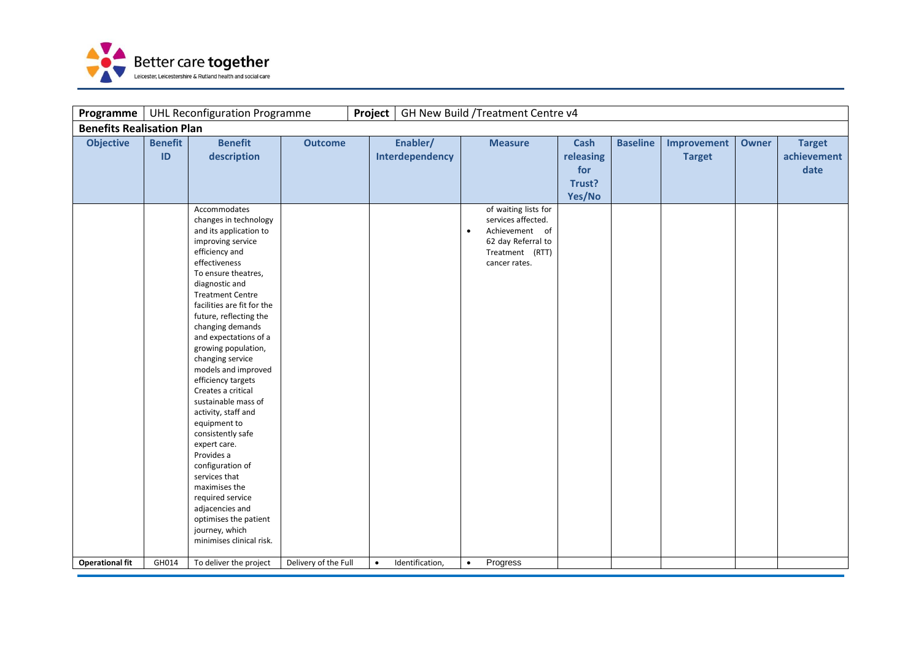

| Programme                        |                      | <b>UHL Reconfiguration Programme</b>                                                                                                                                                                                                                                                                                                                                                                                                                                                                                                                                                                                                                                                                |                      | Project   |                             |           | GH New Build / Treatment Centre v4                                                                                     |                                                     |                 |                              |              |                                      |
|----------------------------------|----------------------|-----------------------------------------------------------------------------------------------------------------------------------------------------------------------------------------------------------------------------------------------------------------------------------------------------------------------------------------------------------------------------------------------------------------------------------------------------------------------------------------------------------------------------------------------------------------------------------------------------------------------------------------------------------------------------------------------------|----------------------|-----------|-----------------------------|-----------|------------------------------------------------------------------------------------------------------------------------|-----------------------------------------------------|-----------------|------------------------------|--------------|--------------------------------------|
| <b>Benefits Realisation Plan</b> |                      |                                                                                                                                                                                                                                                                                                                                                                                                                                                                                                                                                                                                                                                                                                     |                      |           |                             |           |                                                                                                                        |                                                     |                 |                              |              |                                      |
| <b>Objective</b>                 | <b>Benefit</b><br>ID | <b>Benefit</b><br>description                                                                                                                                                                                                                                                                                                                                                                                                                                                                                                                                                                                                                                                                       | <b>Outcome</b>       |           | Enabler/<br>Interdependency |           | <b>Measure</b>                                                                                                         | <b>Cash</b><br>releasing<br>for<br>Trust?<br>Yes/No | <b>Baseline</b> | Improvement<br><b>Target</b> | <b>Owner</b> | <b>Target</b><br>achievement<br>date |
|                                  |                      | Accommodates<br>changes in technology<br>and its application to<br>improving service<br>efficiency and<br>effectiveness<br>To ensure theatres,<br>diagnostic and<br><b>Treatment Centre</b><br>facilities are fit for the<br>future, reflecting the<br>changing demands<br>and expectations of a<br>growing population,<br>changing service<br>models and improved<br>efficiency targets<br>Creates a critical<br>sustainable mass of<br>activity, staff and<br>equipment to<br>consistently safe<br>expert care.<br>Provides a<br>configuration of<br>services that<br>maximises the<br>required service<br>adjacencies and<br>optimises the patient<br>journey, which<br>minimises clinical risk. |                      |           |                             | $\bullet$ | of waiting lists for<br>services affected.<br>Achievement of<br>62 day Referral to<br>Treatment (RTT)<br>cancer rates. |                                                     |                 |                              |              |                                      |
| <b>Operational fit</b>           | GH014                | To deliver the project                                                                                                                                                                                                                                                                                                                                                                                                                                                                                                                                                                                                                                                                              | Delivery of the Full | $\bullet$ | Identification,             | $\bullet$ | Progress                                                                                                               |                                                     |                 |                              |              |                                      |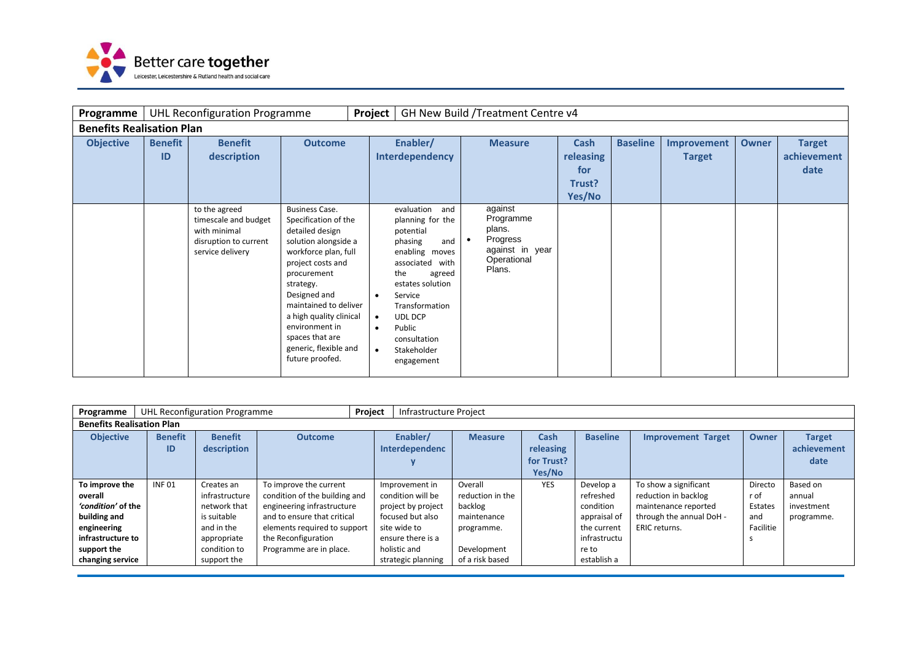

| Programme                        |                      | <b>UHL Reconfiguration Programme</b>                                                               |                                                                                                                                                                                                                                                                                                                        | Project                                          |                                                                                                                                                                                                                                                      |           | GH New Build /Treatment Centre v4                                                      |                                              |                 |                              |              |                                      |
|----------------------------------|----------------------|----------------------------------------------------------------------------------------------------|------------------------------------------------------------------------------------------------------------------------------------------------------------------------------------------------------------------------------------------------------------------------------------------------------------------------|--------------------------------------------------|------------------------------------------------------------------------------------------------------------------------------------------------------------------------------------------------------------------------------------------------------|-----------|----------------------------------------------------------------------------------------|----------------------------------------------|-----------------|------------------------------|--------------|--------------------------------------|
| <b>Benefits Realisation Plan</b> |                      |                                                                                                    |                                                                                                                                                                                                                                                                                                                        |                                                  |                                                                                                                                                                                                                                                      |           |                                                                                        |                                              |                 |                              |              |                                      |
| <b>Objective</b>                 | <b>Benefit</b><br>ID | <b>Benefit</b><br>description                                                                      | <b>Outcome</b>                                                                                                                                                                                                                                                                                                         |                                                  | Enabler/<br>Interdependency                                                                                                                                                                                                                          |           | <b>Measure</b>                                                                         | Cash<br>releasing<br>for<br>Trust?<br>Yes/No | <b>Baseline</b> | Improvement<br><b>Target</b> | <b>Owner</b> | <b>Target</b><br>achievement<br>date |
|                                  |                      | to the agreed<br>timescale and budget<br>with minimal<br>disruption to current<br>service delivery | <b>Business Case.</b><br>Specification of the<br>detailed design<br>solution alongside a<br>workforce plan, full<br>project costs and<br>procurement<br>strategy.<br>Designed and<br>maintained to deliver<br>a high quality clinical<br>environment in<br>spaces that are<br>generic, flexible and<br>future proofed. | $\bullet$<br>$\bullet$<br>$\bullet$<br>$\bullet$ | evaluation<br>and<br>planning for the<br>potential<br>phasing<br>and<br>enabling moves<br>associated with<br>the<br>agreed<br>estates solution<br>Service<br>Transformation<br><b>UDL DCP</b><br>Public<br>consultation<br>Stakeholder<br>engagement | $\bullet$ | against<br>Programme<br>plans.<br>Progress<br>against in year<br>Operational<br>Plans. |                                              |                 |                              |              |                                      |

| Programme                        |                      | UHL Reconfiguration Programme |                               | Project | Infrastructure Project     |                  |                                 |                 |                           |              |                                      |
|----------------------------------|----------------------|-------------------------------|-------------------------------|---------|----------------------------|------------------|---------------------------------|-----------------|---------------------------|--------------|--------------------------------------|
| <b>Benefits Realisation Plan</b> |                      |                               |                               |         |                            |                  |                                 |                 |                           |              |                                      |
| <b>Objective</b>                 | <b>Benefit</b><br>ID | <b>Benefit</b><br>description | <b>Outcome</b>                |         | Enabler/<br>Interdependenc | <b>Measure</b>   | Cash<br>releasing<br>for Trust? | <b>Baseline</b> | <b>Improvement Target</b> | <b>Owner</b> | <b>Target</b><br>achievement<br>date |
|                                  |                      |                               |                               |         |                            |                  | Yes/No                          |                 |                           |              |                                      |
| To improve the                   | <b>INF01</b>         | Creates an                    | To improve the current        |         | Improvement in             | Overall          | <b>YES</b>                      | Develop a       | To show a significant     | Directo      | Based on                             |
| overall                          |                      | infrastructure                | condition of the building and |         | condition will be          | reduction in the |                                 | refreshed       | reduction in backlog      | r of         | annual                               |
| 'condition' of the               |                      | network that                  | engineering infrastructure    |         | project by project         | backlog          |                                 | condition       | maintenance reported      | Estates      | investment                           |
| building and                     |                      | is suitable                   | and to ensure that critical   |         | focused but also           | maintenance      |                                 | appraisal of    | through the annual DoH -  | and          | programme.                           |
| engineering                      |                      | and in the                    | elements required to support  |         | site wide to               | programme.       |                                 | the current     | <b>ERIC</b> returns.      | Facilitie    |                                      |
| infrastructure to                |                      | appropriate                   | the Reconfiguration           |         | ensure there is a          |                  |                                 | infrastructu    |                           |              |                                      |
| support the                      |                      | condition to                  | Programme are in place.       |         | holistic and               | Development      |                                 | re to           |                           |              |                                      |
| changing service                 |                      | support the                   |                               |         | strategic planning         | of a risk based  |                                 | establish a     |                           |              |                                      |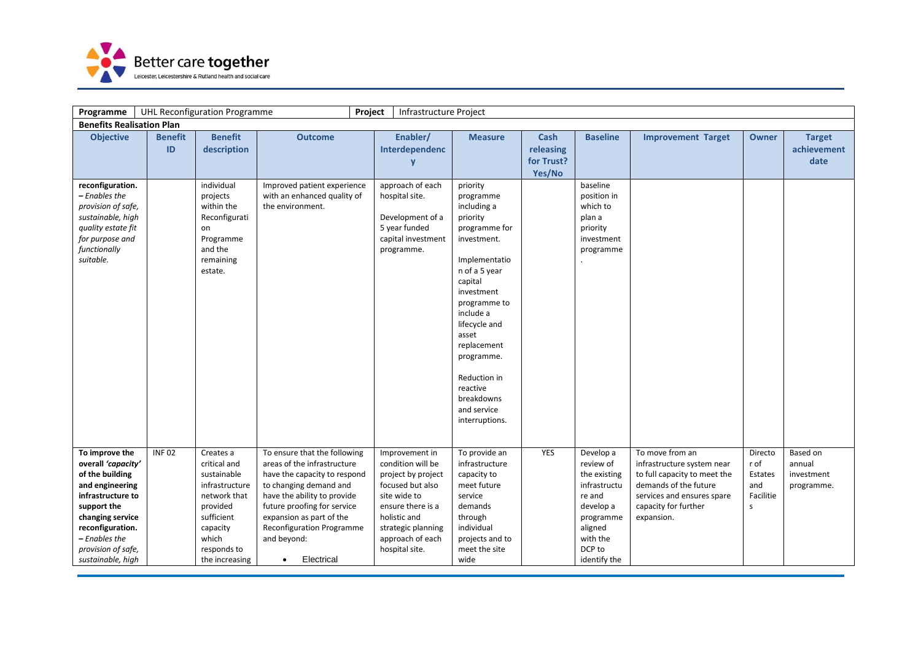

| Programme                                                                                                                                                                                                          | <b>UHL Reconfiguration Programme</b><br>Infrastructure Project<br>Project                                                                                                                                     |                                                                                                                                                            |                                                                                                                                                                                                                                                                                        |                                                                                                                                                                                                |                                                                                                                                                                                                                                                                                                            |                                   |                                                                                                                                             |                                                                                                                                                                            |                                                                |                                                |  |
|--------------------------------------------------------------------------------------------------------------------------------------------------------------------------------------------------------------------|---------------------------------------------------------------------------------------------------------------------------------------------------------------------------------------------------------------|------------------------------------------------------------------------------------------------------------------------------------------------------------|----------------------------------------------------------------------------------------------------------------------------------------------------------------------------------------------------------------------------------------------------------------------------------------|------------------------------------------------------------------------------------------------------------------------------------------------------------------------------------------------|------------------------------------------------------------------------------------------------------------------------------------------------------------------------------------------------------------------------------------------------------------------------------------------------------------|-----------------------------------|---------------------------------------------------------------------------------------------------------------------------------------------|----------------------------------------------------------------------------------------------------------------------------------------------------------------------------|----------------------------------------------------------------|------------------------------------------------|--|
|                                                                                                                                                                                                                    | <b>Benefits Realisation Plan</b><br><b>Baseline</b><br><b>Benefit</b><br><b>Outcome</b><br>Enabler/<br>Cash<br><b>Improvement Target</b><br><b>Benefit</b><br><b>Measure</b><br><b>Owner</b><br><b>Target</b> |                                                                                                                                                            |                                                                                                                                                                                                                                                                                        |                                                                                                                                                                                                |                                                                                                                                                                                                                                                                                                            |                                   |                                                                                                                                             |                                                                                                                                                                            |                                                                |                                                |  |
| <b>Objective</b>                                                                                                                                                                                                   | ID                                                                                                                                                                                                            | description                                                                                                                                                |                                                                                                                                                                                                                                                                                        | Interdependenc<br>y                                                                                                                                                                            |                                                                                                                                                                                                                                                                                                            | releasing<br>for Trust?<br>Yes/No |                                                                                                                                             |                                                                                                                                                                            |                                                                | achievement<br>date                            |  |
| reconfiguration.<br>- Enables the<br>provision of safe,<br>sustainable, high<br>quality estate fit<br>for purpose and<br>functionally<br>suitable.                                                                 |                                                                                                                                                                                                               | individual<br>projects<br>within the<br>Reconfigurati<br>on<br>Programme<br>and the<br>remaining<br>estate.                                                | Improved patient experience<br>with an enhanced quality of<br>the environment.                                                                                                                                                                                                         | approach of each<br>hospital site.<br>Development of a<br>5 year funded<br>capital investment<br>programme.                                                                                    | priority<br>programme<br>including a<br>priority<br>programme for<br>investment.<br>Implementatio<br>n of a 5 year<br>capital<br>investment<br>programme to<br>include a<br>lifecycle and<br>asset<br>replacement<br>programme.<br>Reduction in<br>reactive<br>breakdowns<br>and service<br>interruptions. |                                   | baseline<br>position in<br>which to<br>plan a<br>priority<br>investment<br>programme                                                        |                                                                                                                                                                            |                                                                |                                                |  |
| To improve the<br>overall 'capacity'<br>of the building<br>and engineering<br>infrastructure to<br>support the<br>changing service<br>reconfiguration.<br>– Enables the<br>provision of safe,<br>sustainable, high | <b>INF02</b>                                                                                                                                                                                                  | Creates a<br>critical and<br>sustainable<br>infrastructure<br>network that<br>provided<br>sufficient<br>capacity<br>which<br>responds to<br>the increasing | To ensure that the following<br>areas of the infrastructure<br>have the capacity to respond<br>to changing demand and<br>have the ability to provide<br>future proofing for service<br>expansion as part of the<br>Reconfiguration Programme<br>and beyond:<br>Electrical<br>$\bullet$ | Improvement in<br>condition will be<br>project by project<br>focused but also<br>site wide to<br>ensure there is a<br>holistic and<br>strategic planning<br>approach of each<br>hospital site. | To provide an<br>infrastructure<br>capacity to<br>meet future<br>service<br>demands<br>through<br>individual<br>projects and to<br>meet the site<br>wide                                                                                                                                                   | YES                               | Develop a<br>review of<br>the existing<br>infrastructu<br>re and<br>develop a<br>programme<br>aligned<br>with the<br>DCP to<br>identify the | To move from an<br>infrastructure system near<br>to full capacity to meet the<br>demands of the future<br>services and ensures spare<br>capacity for further<br>expansion. | Directo<br>r of<br>Estates<br>and<br>Facilitie<br>$\mathsf{s}$ | Based on<br>annual<br>investment<br>programme. |  |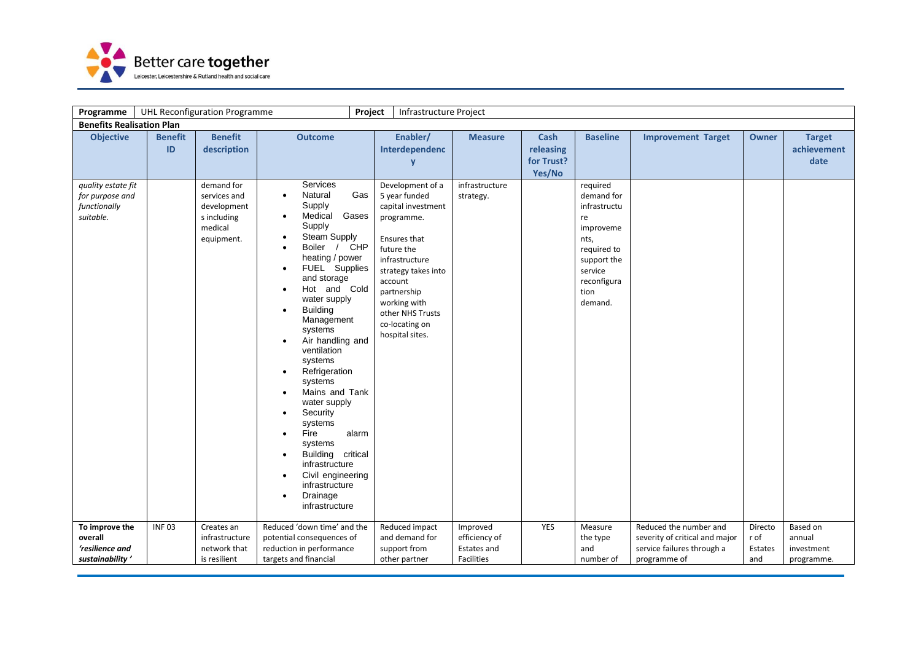

| Programme                                                          |                      | <b>UHL Reconfiguration Programme</b>                                | Project                                                                                                                                                                                                                                                                                                                                                                                                                                                                                                                                                                                                  | Infrastructure Project                                                                                                                                                                                                      |                                                               |                                                  |                                                                                                                                  |                                                                                                        |                                   |                                                |
|--------------------------------------------------------------------|----------------------|---------------------------------------------------------------------|----------------------------------------------------------------------------------------------------------------------------------------------------------------------------------------------------------------------------------------------------------------------------------------------------------------------------------------------------------------------------------------------------------------------------------------------------------------------------------------------------------------------------------------------------------------------------------------------------------|-----------------------------------------------------------------------------------------------------------------------------------------------------------------------------------------------------------------------------|---------------------------------------------------------------|--------------------------------------------------|----------------------------------------------------------------------------------------------------------------------------------|--------------------------------------------------------------------------------------------------------|-----------------------------------|------------------------------------------------|
| <b>Benefits Realisation Plan</b>                                   |                      |                                                                     |                                                                                                                                                                                                                                                                                                                                                                                                                                                                                                                                                                                                          |                                                                                                                                                                                                                             |                                                               |                                                  |                                                                                                                                  |                                                                                                        |                                   |                                                |
| <b>Objective</b>                                                   | <b>Benefit</b><br>ID | <b>Benefit</b><br>description<br>demand for                         | <b>Outcome</b><br><b>Services</b>                                                                                                                                                                                                                                                                                                                                                                                                                                                                                                                                                                        | Enabler/<br>Interdependenc<br>V<br>Development of a                                                                                                                                                                         | <b>Measure</b><br>infrastructure                              | <b>Cash</b><br>releasing<br>for Trust?<br>Yes/No | <b>Baseline</b><br>required                                                                                                      | <b>Improvement Target</b>                                                                              | <b>Owner</b>                      | <b>Target</b><br>achievement<br>date           |
| quality estate fit<br>for purpose and<br>functionally<br>suitable. |                      | services and<br>development<br>s including<br>medical<br>equipment. | Natural<br>Gas<br>$\bullet$<br>Supply<br>Medical<br>Gases<br>$\bullet$<br>Supply<br>Steam Supply<br>Boiler / CHP<br>$\bullet$<br>heating / power<br>FUEL Supplies<br>and storage<br>Hot and Cold<br>water supply<br><b>Building</b><br>$\bullet$<br>Management<br>systems<br>Air handling and<br>$\bullet$<br>ventilation<br>systems<br>Refrigeration<br>$\bullet$<br>systems<br>Mains and Tank<br>water supply<br>Security<br>systems<br>Fire<br>alarm<br>$\bullet$<br>systems<br>Building critical<br>infrastructure<br>Civil engineering<br>infrastructure<br>Drainage<br>$\bullet$<br>infrastructure | 5 year funded<br>capital investment<br>programme.<br>Ensures that<br>future the<br>infrastructure<br>strategy takes into<br>account<br>partnership<br>working with<br>other NHS Trusts<br>co-locating on<br>hospital sites. | strategy.                                                     |                                                  | demand for<br>infrastructu<br>re<br>improveme<br>nts,<br>required to<br>support the<br>service<br>reconfigura<br>tion<br>demand. |                                                                                                        |                                   |                                                |
| To improve the<br>overall<br>'resilience and<br>sustainability     | <b>INF03</b>         | Creates an<br>infrastructure<br>network that<br>is resilient        | Reduced 'down time' and the<br>potential consequences of<br>reduction in performance<br>targets and financial                                                                                                                                                                                                                                                                                                                                                                                                                                                                                            | Reduced impact<br>and demand for<br>support from<br>other partner                                                                                                                                                           | Improved<br>efficiency of<br>Estates and<br><b>Facilities</b> | YES                                              | Measure<br>the type<br>and<br>number of                                                                                          | Reduced the number and<br>severity of critical and major<br>service failures through a<br>programme of | Directo<br>r of<br>Estates<br>and | Based on<br>annual<br>investment<br>programme. |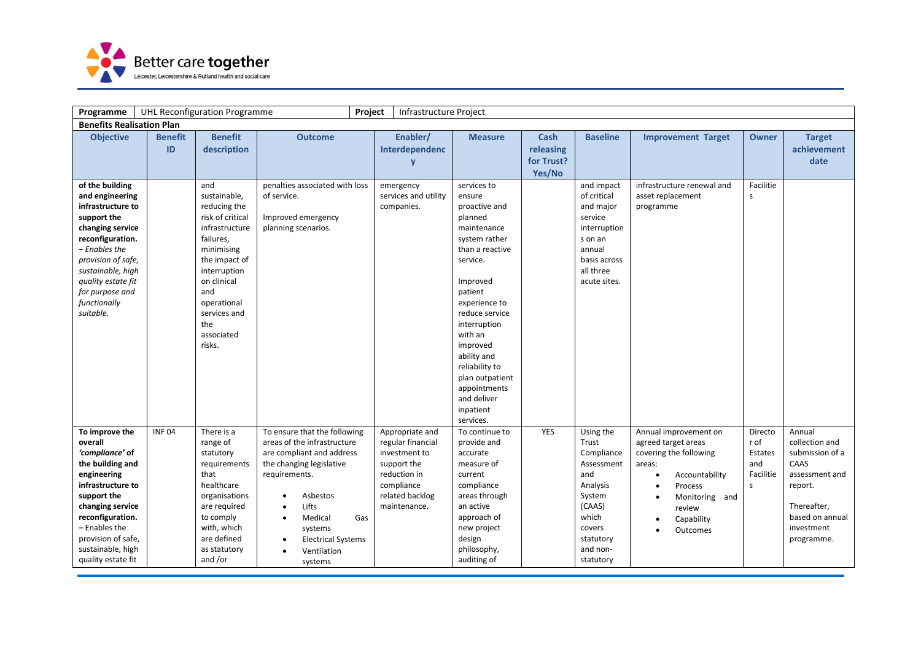

| Programme                                                                                                                                                                                                                                        |                      | UHL Reconfiguration Programme                                                                                                                                                                                             |                                                                                                                                                                                                                                                                                                    | Project<br>Infrastructure Project                                                                                                     |                                                                                                                                                                                                                                                                                                                                |                                           |                                                                                                                                                |                                                                                                                                                                     |                                                      |                                                                                                                                                |
|--------------------------------------------------------------------------------------------------------------------------------------------------------------------------------------------------------------------------------------------------|----------------------|---------------------------------------------------------------------------------------------------------------------------------------------------------------------------------------------------------------------------|----------------------------------------------------------------------------------------------------------------------------------------------------------------------------------------------------------------------------------------------------------------------------------------------------|---------------------------------------------------------------------------------------------------------------------------------------|--------------------------------------------------------------------------------------------------------------------------------------------------------------------------------------------------------------------------------------------------------------------------------------------------------------------------------|-------------------------------------------|------------------------------------------------------------------------------------------------------------------------------------------------|---------------------------------------------------------------------------------------------------------------------------------------------------------------------|------------------------------------------------------|------------------------------------------------------------------------------------------------------------------------------------------------|
| <b>Benefits Realisation Plan</b>                                                                                                                                                                                                                 |                      |                                                                                                                                                                                                                           |                                                                                                                                                                                                                                                                                                    |                                                                                                                                       |                                                                                                                                                                                                                                                                                                                                |                                           |                                                                                                                                                |                                                                                                                                                                     |                                                      |                                                                                                                                                |
| <b>Objective</b>                                                                                                                                                                                                                                 | <b>Benefit</b><br>ID | <b>Benefit</b><br>description                                                                                                                                                                                             | <b>Outcome</b>                                                                                                                                                                                                                                                                                     | Enabler/<br>Interdependenc<br>V                                                                                                       | <b>Measure</b>                                                                                                                                                                                                                                                                                                                 | Cash<br>releasing<br>for Trust?<br>Yes/No | <b>Baseline</b>                                                                                                                                | <b>Improvement Target</b>                                                                                                                                           | <b>Owner</b>                                         | <b>Target</b><br>achievement<br>date                                                                                                           |
| of the building<br>and engineering<br>infrastructure to<br>support the<br>changing service<br>reconfiguration.<br>– Enables the<br>provision of safe,<br>sustainable, high<br>quality estate fit<br>for purpose and<br>functionally<br>suitable. |                      | and<br>sustainable,<br>reducing the<br>risk of critical<br>infrastructure<br>failures,<br>minimising<br>the impact of<br>interruption<br>on clinical<br>and<br>operational<br>services and<br>the<br>associated<br>risks. | penalties associated with loss<br>of service.<br>Improved emergency<br>planning scenarios.                                                                                                                                                                                                         | emergency<br>services and utility<br>companies.                                                                                       | services to<br>ensure<br>proactive and<br>planned<br>maintenance<br>system rather<br>than a reactive<br>service.<br>Improved<br>patient<br>experience to<br>reduce service<br>interruption<br>with an<br>improved<br>ability and<br>reliability to<br>plan outpatient<br>appointments<br>and deliver<br>inpatient<br>services. |                                           | and impact<br>of critical<br>and major<br>service<br>interruption<br>s on an<br>annual<br>basis across<br>all three<br>acute sites.            | infrastructure renewal and<br>asset replacement<br>programme                                                                                                        | Facilitie<br>s                                       |                                                                                                                                                |
| To improve the<br>overall<br>'compliance' of<br>the building and<br>engineering<br>infrastructure to<br>support the<br>changing service<br>reconfiguration.<br>– Enables the<br>provision of safe,<br>sustainable, high<br>quality estate fit    | <b>INF04</b>         | There is a<br>range of<br>statutory<br>requirements<br>that<br>healthcare<br>organisations<br>are required<br>to comply<br>with, which<br>are defined<br>as statutory<br>and /or                                          | To ensure that the following<br>areas of the infrastructure<br>are compliant and address<br>the changing legislative<br>requirements.<br>Asbestos<br>$\bullet$<br>Lifts<br>Medical<br>Gas<br>$\bullet$<br>systems<br><b>Electrical Systems</b><br>$\bullet$<br>Ventilation<br>$\bullet$<br>systems | Appropriate and<br>regular financial<br>investment to<br>support the<br>reduction in<br>compliance<br>related backlog<br>maintenance. | To continue to<br>provide and<br>accurate<br>measure of<br>current<br>compliance<br>areas through<br>an active<br>approach of<br>new project<br>design<br>philosophy,<br>auditing of                                                                                                                                           | <b>YES</b>                                | Using the<br>Trust<br>Compliance<br>Assessment<br>and<br>Analysis<br>System<br>(CAAS)<br>which<br>covers<br>statutory<br>and non-<br>statutory | Annual improvement on<br>agreed target areas<br>covering the following<br>areas:<br>Accountability<br>Process<br>Monitoring and<br>review<br>Capability<br>Outcomes | Directo<br>r of<br>Estates<br>and<br>Facilitie<br>S. | Annual<br>collection and<br>submission of a<br>CAAS<br>assessment and<br>report.<br>Thereafter,<br>based on annual<br>investment<br>programme. |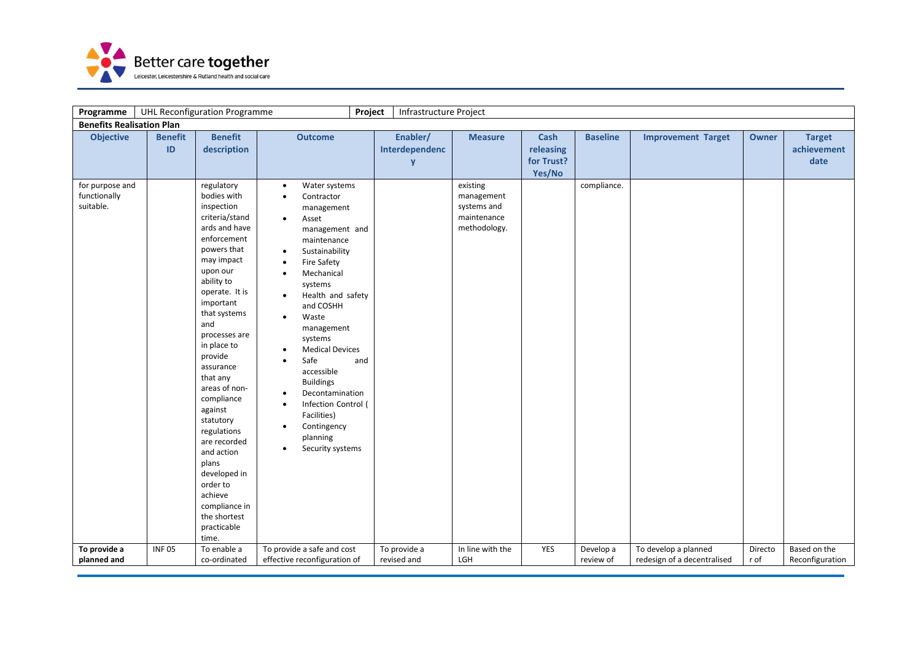

| Programme                                    |                      | <b>UHL Reconfiguration Programme</b>                                                                                                                                                                                                                                                                                                                                                                                                                                                    | Project                                                                                                                                                                                                                                                                                                                                                                                                                                                                                                             | Infrastructure Project          |                                                                      |                                                  |                 |                             |              |                                      |
|----------------------------------------------|----------------------|-----------------------------------------------------------------------------------------------------------------------------------------------------------------------------------------------------------------------------------------------------------------------------------------------------------------------------------------------------------------------------------------------------------------------------------------------------------------------------------------|---------------------------------------------------------------------------------------------------------------------------------------------------------------------------------------------------------------------------------------------------------------------------------------------------------------------------------------------------------------------------------------------------------------------------------------------------------------------------------------------------------------------|---------------------------------|----------------------------------------------------------------------|--------------------------------------------------|-----------------|-----------------------------|--------------|--------------------------------------|
| <b>Benefits Realisation Plan</b>             |                      |                                                                                                                                                                                                                                                                                                                                                                                                                                                                                         |                                                                                                                                                                                                                                                                                                                                                                                                                                                                                                                     |                                 |                                                                      |                                                  |                 |                             |              |                                      |
| <b>Objective</b>                             | <b>Benefit</b><br>ID | <b>Benefit</b><br>description                                                                                                                                                                                                                                                                                                                                                                                                                                                           | <b>Outcome</b>                                                                                                                                                                                                                                                                                                                                                                                                                                                                                                      | Enabler/<br>Interdependenc<br>y | <b>Measure</b>                                                       | <b>Cash</b><br>releasing<br>for Trust?<br>Yes/No | <b>Baseline</b> | <b>Improvement Target</b>   | <b>Owner</b> | <b>Target</b><br>achievement<br>date |
| for purpose and<br>functionally<br>suitable. |                      | regulatory<br>bodies with<br>inspection<br>criteria/stand<br>ards and have<br>enforcement<br>powers that<br>may impact<br>upon our<br>ability to<br>operate. It is<br>important<br>that systems<br>and<br>processes are<br>in place to<br>provide<br>assurance<br>that any<br>areas of non-<br>compliance<br>against<br>statutory<br>regulations<br>are recorded<br>and action<br>plans<br>developed in<br>order to<br>achieve<br>compliance in<br>the shortest<br>practicable<br>time. | Water systems<br>$\bullet$<br>Contractor<br>management<br>Asset<br>$\bullet$<br>management and<br>maintenance<br>Sustainability<br><b>Fire Safety</b><br>Mechanical<br>$\bullet$<br>systems<br>Health and safety<br>and COSHH<br>Waste<br>$\bullet$<br>management<br>systems<br><b>Medical Devices</b><br>Safe<br>and<br>$\bullet$<br>accessible<br><b>Buildings</b><br>Decontamination<br>Infection Control (<br>$\bullet$<br>Facilities)<br>Contingency<br>$\bullet$<br>planning<br>Security systems<br>$\bullet$ |                                 | existing<br>management<br>systems and<br>maintenance<br>methodology. |                                                  | compliance.     |                             |              |                                      |
| To provide a                                 | <b>INF05</b>         | To enable a                                                                                                                                                                                                                                                                                                                                                                                                                                                                             | To provide a safe and cost                                                                                                                                                                                                                                                                                                                                                                                                                                                                                          | To provide a                    | In line with the                                                     | YES                                              | Develop a       | To develop a planned        | Directo      | Based on the                         |
| planned and                                  |                      | co-ordinated                                                                                                                                                                                                                                                                                                                                                                                                                                                                            | effective reconfiguration of                                                                                                                                                                                                                                                                                                                                                                                                                                                                                        | revised and                     | LGH                                                                  |                                                  | review of       | redesign of a decentralised | r of         | Reconfiguration                      |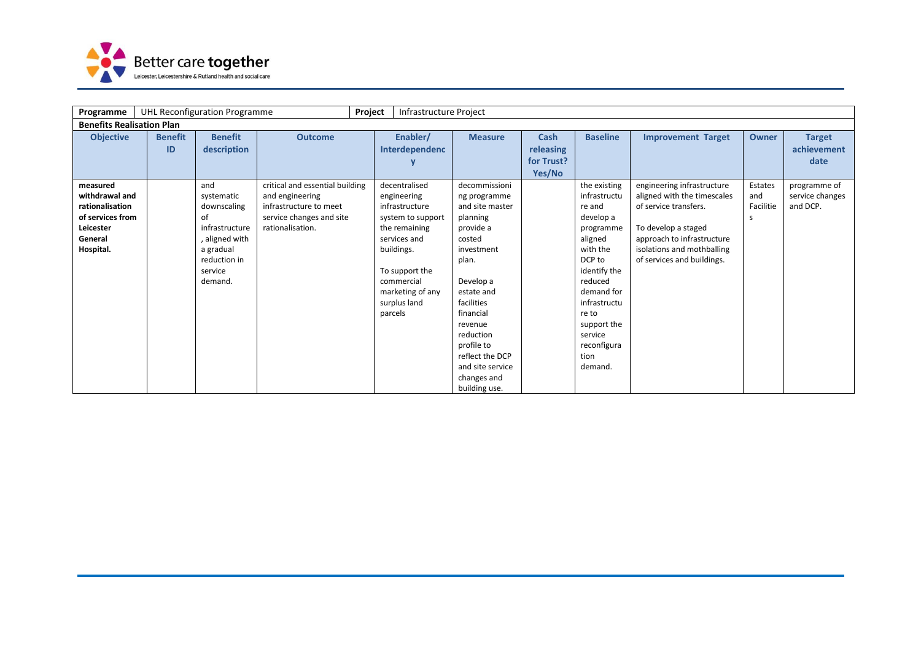

| Programme                                                                                              |                      | UHL Reconfiguration Programme                                                                                                 |                                                                                                                              | Project | Infrastructure Project                                                                                                                                                                 |                                                                                                                                                                                                                                                                               |                                           |                                                                                                                                                                                                                                 |                                                                                                                                                                                                     |                                   |                                             |
|--------------------------------------------------------------------------------------------------------|----------------------|-------------------------------------------------------------------------------------------------------------------------------|------------------------------------------------------------------------------------------------------------------------------|---------|----------------------------------------------------------------------------------------------------------------------------------------------------------------------------------------|-------------------------------------------------------------------------------------------------------------------------------------------------------------------------------------------------------------------------------------------------------------------------------|-------------------------------------------|---------------------------------------------------------------------------------------------------------------------------------------------------------------------------------------------------------------------------------|-----------------------------------------------------------------------------------------------------------------------------------------------------------------------------------------------------|-----------------------------------|---------------------------------------------|
| <b>Benefits Realisation Plan</b>                                                                       |                      |                                                                                                                               |                                                                                                                              |         |                                                                                                                                                                                        |                                                                                                                                                                                                                                                                               |                                           |                                                                                                                                                                                                                                 |                                                                                                                                                                                                     |                                   |                                             |
| <b>Objective</b>                                                                                       | <b>Benefit</b><br>ID | <b>Benefit</b><br>description                                                                                                 | <b>Outcome</b>                                                                                                               |         | Enabler/<br>Interdependenc                                                                                                                                                             | <b>Measure</b>                                                                                                                                                                                                                                                                | Cash<br>releasing<br>for Trust?<br>Yes/No | <b>Baseline</b>                                                                                                                                                                                                                 | <b>Improvement Target</b>                                                                                                                                                                           | <b>Owner</b>                      | <b>Target</b><br>achievement<br>date        |
| measured<br>withdrawal and<br>rationalisation<br>of services from<br>Leicester<br>General<br>Hospital. |                      | and<br>systematic<br>downscaling<br>οt<br>infrastructure<br>, aligned with<br>a gradual<br>reduction in<br>service<br>demand. | critical and essential building<br>and engineering<br>infrastructure to meet<br>service changes and site<br>rationalisation. | parcels | decentralised<br>engineering<br>infrastructure<br>system to support<br>the remaining<br>services and<br>buildings.<br>To support the<br>commercial<br>marketing of any<br>surplus land | decommissioni<br>ng programme<br>and site master<br>planning<br>provide a<br>costed<br>investment<br>plan.<br>Develop a<br>estate and<br>facilities<br>financial<br>revenue<br>reduction<br>profile to<br>reflect the DCP<br>and site service<br>changes and<br>building use. |                                           | the existing<br>infrastructu<br>re and<br>develop a<br>programme<br>aligned<br>with the<br>DCP to<br>identify the<br>reduced<br>demand for<br>infrastructu<br>re to<br>support the<br>service<br>reconfigura<br>tion<br>demand. | engineering infrastructure<br>aligned with the timescales<br>of service transfers.<br>To develop a staged<br>approach to infrastructure<br>isolations and mothballing<br>of services and buildings. | Estates<br>and<br>Facilitie<br>S. | programme of<br>service changes<br>and DCP. |